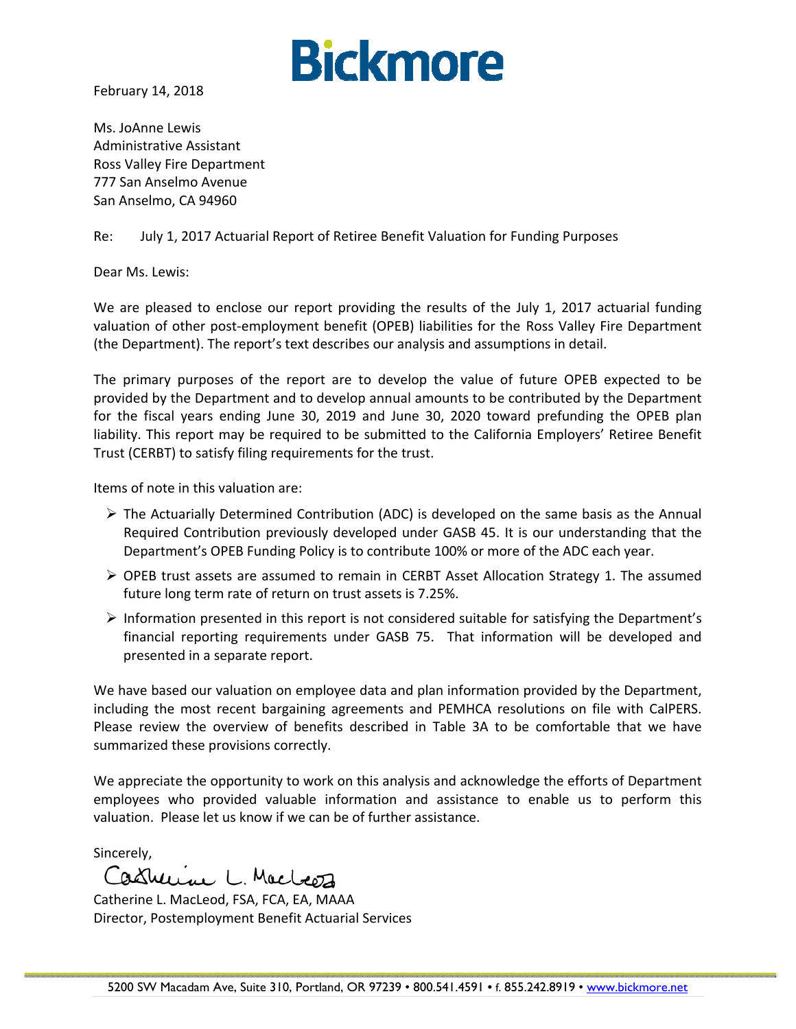

February 14, 2018

Ms. JoAnne Lewis Administrative Assistant Ross Valley Fire Department 777 San Anselmo Avenue San Anselmo, CA 94960

#### Re: July 1, 2017 Actuarial Report of Retiree Benefit Valuation for Funding Purposes

Dear Ms. Lewis:

We are pleased to enclose our report providing the results of the July 1, 2017 actuarial funding valuation of other post‐employment benefit (OPEB) liabilities for the Ross Valley Fire Department (the Department). The report's text describes our analysis and assumptions in detail.

The primary purposes of the report are to develop the value of future OPEB expected to be provided by the Department and to develop annual amounts to be contributed by the Department for the fiscal years ending June 30, 2019 and June 30, 2020 toward prefunding the OPEB plan liability. This report may be required to be submitted to the California Employers' Retiree Benefit Trust (CERBT) to satisfy filing requirements for the trust.

Items of note in this valuation are:

- $\triangleright$  The Actuarially Determined Contribution (ADC) is developed on the same basis as the Annual Required Contribution previously developed under GASB 45. It is our understanding that the Department's OPEB Funding Policy is to contribute 100% or more of the ADC each year.
- $\triangleright$  OPEB trust assets are assumed to remain in CERBT Asset Allocation Strategy 1. The assumed future long term rate of return on trust assets is 7.25%.
- $\triangleright$  Information presented in this report is not considered suitable for satisfying the Department's financial reporting requirements under GASB 75. That information will be developed and presented in a separate report.

We have based our valuation on employee data and plan information provided by the Department, including the most recent bargaining agreements and PEMHCA resolutions on file with CalPERS. Please review the overview of benefits described in Table 3A to be comfortable that we have summarized these provisions correctly.

We appreciate the opportunity to work on this analysis and acknowledge the efforts of Department employees who provided valuable information and assistance to enable us to perform this valuation. Please let us know if we can be of further assistance.

Sincerely,<br>Castruine L. Macleez

Catherine L. MacLeod, FSA, FCA, EA, MAAA Director, Postemployment Benefit Actuarial Services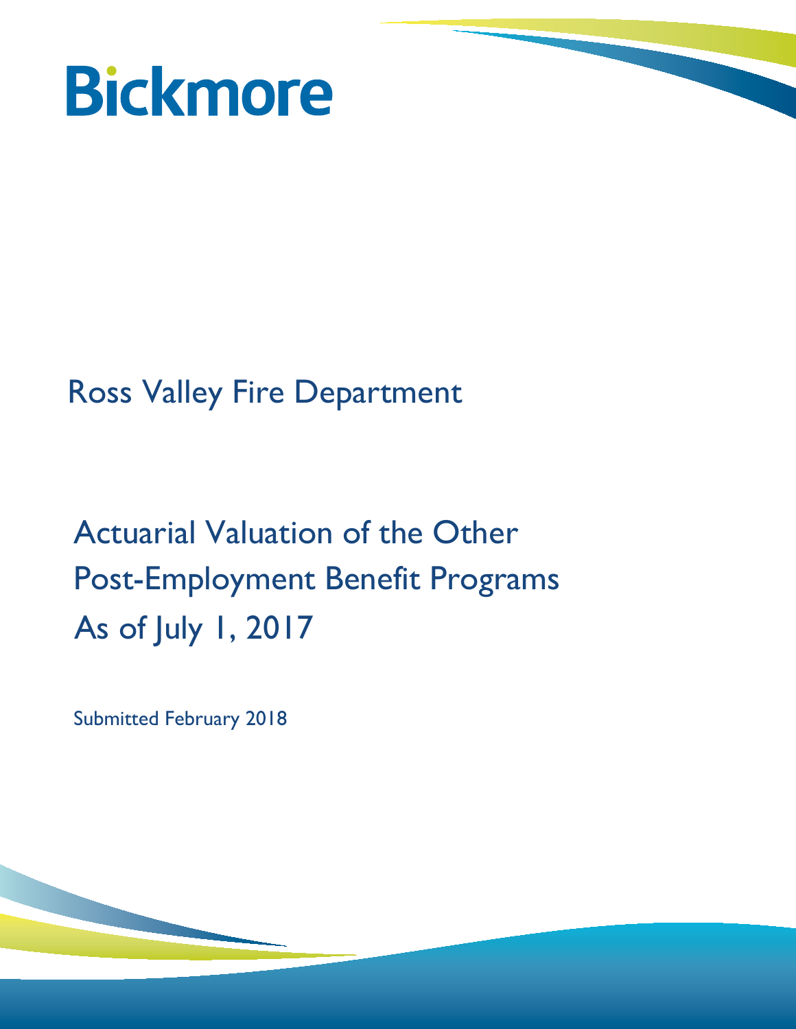

# Ross Valley Fire Department

# Actuarial Valuation of the Other Post-Employment Benefit Programs As of July 1, 2017

Submitted February 2018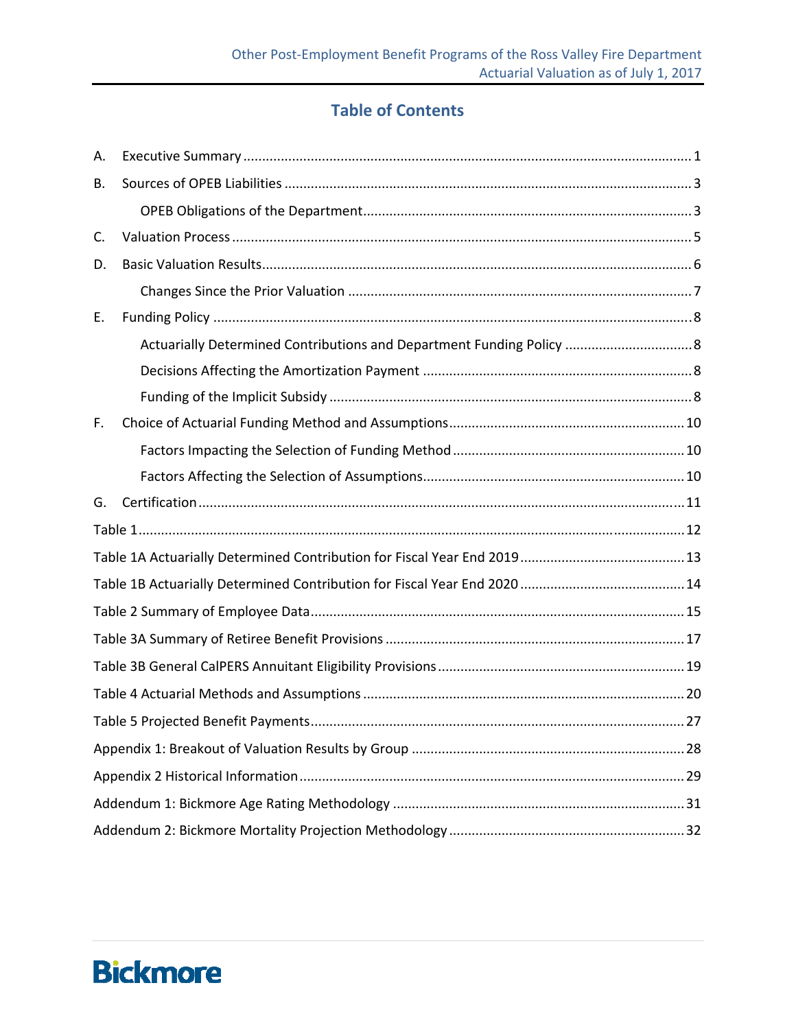### **Table of Contents**

| А. |                                                                       |  |  |  |  |  |  |
|----|-----------------------------------------------------------------------|--|--|--|--|--|--|
| В. |                                                                       |  |  |  |  |  |  |
|    |                                                                       |  |  |  |  |  |  |
| C. |                                                                       |  |  |  |  |  |  |
| D. |                                                                       |  |  |  |  |  |  |
|    |                                                                       |  |  |  |  |  |  |
| E. |                                                                       |  |  |  |  |  |  |
|    | Actuarially Determined Contributions and Department Funding Policy  8 |  |  |  |  |  |  |
|    |                                                                       |  |  |  |  |  |  |
|    |                                                                       |  |  |  |  |  |  |
| F. |                                                                       |  |  |  |  |  |  |
|    |                                                                       |  |  |  |  |  |  |
|    |                                                                       |  |  |  |  |  |  |
| G. |                                                                       |  |  |  |  |  |  |
|    |                                                                       |  |  |  |  |  |  |
|    |                                                                       |  |  |  |  |  |  |
|    |                                                                       |  |  |  |  |  |  |
|    |                                                                       |  |  |  |  |  |  |
|    |                                                                       |  |  |  |  |  |  |
|    |                                                                       |  |  |  |  |  |  |
|    |                                                                       |  |  |  |  |  |  |
|    |                                                                       |  |  |  |  |  |  |
|    |                                                                       |  |  |  |  |  |  |
|    |                                                                       |  |  |  |  |  |  |
|    |                                                                       |  |  |  |  |  |  |
|    |                                                                       |  |  |  |  |  |  |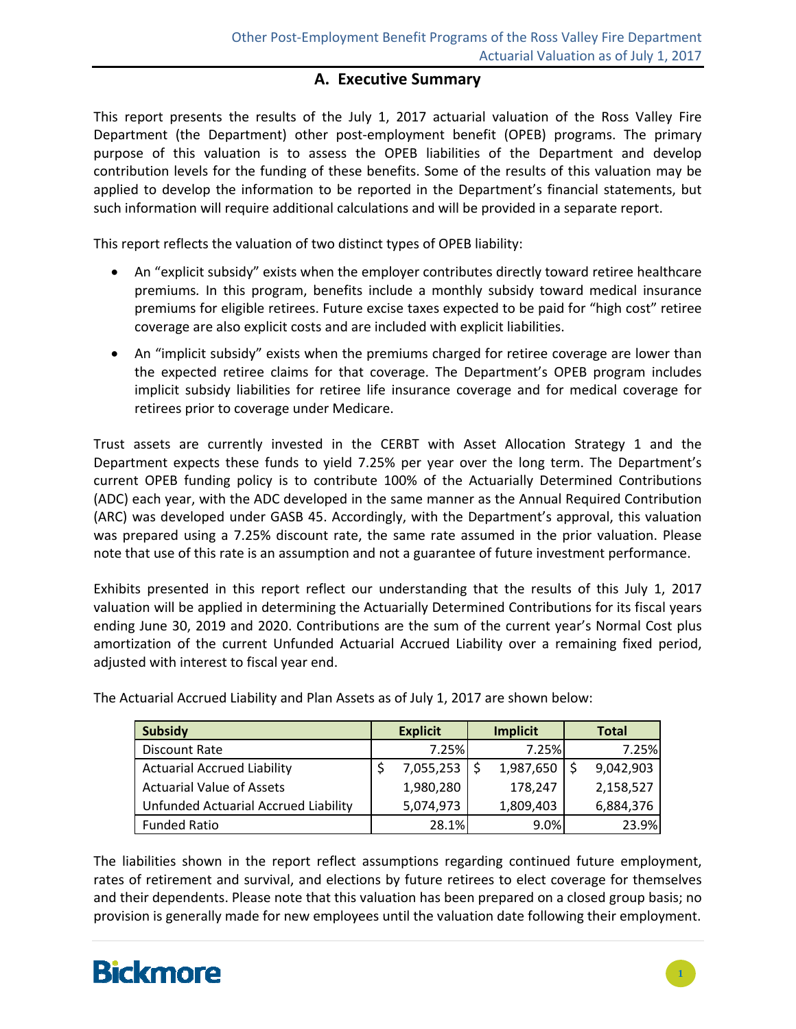#### **A. Executive Summary**

This report presents the results of the July 1, 2017 actuarial valuation of the Ross Valley Fire Department (the Department) other post-employment benefit (OPEB) programs. The primary purpose of this valuation is to assess the OPEB liabilities of the Department and develop contribution levels for the funding of these benefits. Some of the results of this valuation may be applied to develop the information to be reported in the Department's financial statements, but such information will require additional calculations and will be provided in a separate report.

This report reflects the valuation of two distinct types of OPEB liability:

- An "explicit subsidy" exists when the employer contributes directly toward retiree healthcare premiums*.* In this program, benefits include a monthly subsidy toward medical insurance premiums for eligible retirees. Future excise taxes expected to be paid for "high cost" retiree coverage are also explicit costs and are included with explicit liabilities.
- An "implicit subsidy" exists when the premiums charged for retiree coverage are lower than the expected retiree claims for that coverage. The Department's OPEB program includes implicit subsidy liabilities for retiree life insurance coverage and for medical coverage for retirees prior to coverage under Medicare.

Trust assets are currently invested in the CERBT with Asset Allocation Strategy 1 and the Department expects these funds to yield 7.25% per year over the long term. The Department's current OPEB funding policy is to contribute 100% of the Actuarially Determined Contributions (ADC) each year, with the ADC developed in the same manner as the Annual Required Contribution (ARC) was developed under GASB 45. Accordingly, with the Department's approval, this valuation was prepared using a 7.25% discount rate, the same rate assumed in the prior valuation. Please note that use of this rate is an assumption and not a guarantee of future investment performance.

Exhibits presented in this report reflect our understanding that the results of this July 1, 2017 valuation will be applied in determining the Actuarially Determined Contributions for its fiscal years ending June 30, 2019 and 2020. Contributions are the sum of the current year's Normal Cost plus amortization of the current Unfunded Actuarial Accrued Liability over a remaining fixed period, adjusted with interest to fiscal year end.

| Subsidy                              | <b>Explicit</b> | <b>Implicit</b> | <b>Total</b> |           |
|--------------------------------------|-----------------|-----------------|--------------|-----------|
| Discount Rate                        | 7.25%l          |                 | 7.25%        | 7.25%     |
| <b>Actuarial Accrued Liability</b>   | $7,055,253$ \$  |                 | 1,987,650    | 9,042,903 |
| <b>Actuarial Value of Assets</b>     | 1,980,280       |                 | 178,247      | 2,158,527 |
| Unfunded Actuarial Accrued Liability | 5,074,973       |                 | 1,809,403    | 6,884,376 |
| <b>Funded Ratio</b>                  | 28.1%           |                 | 9.0%         | 23.9%     |

The Actuarial Accrued Liability and Plan Assets as of July 1, 2017 are shown below:

The liabilities shown in the report reflect assumptions regarding continued future employment, rates of retirement and survival, and elections by future retirees to elect coverage for themselves and their dependents. Please note that this valuation has been prepared on a closed group basis; no provision is generally made for new employees until the valuation date following their employment.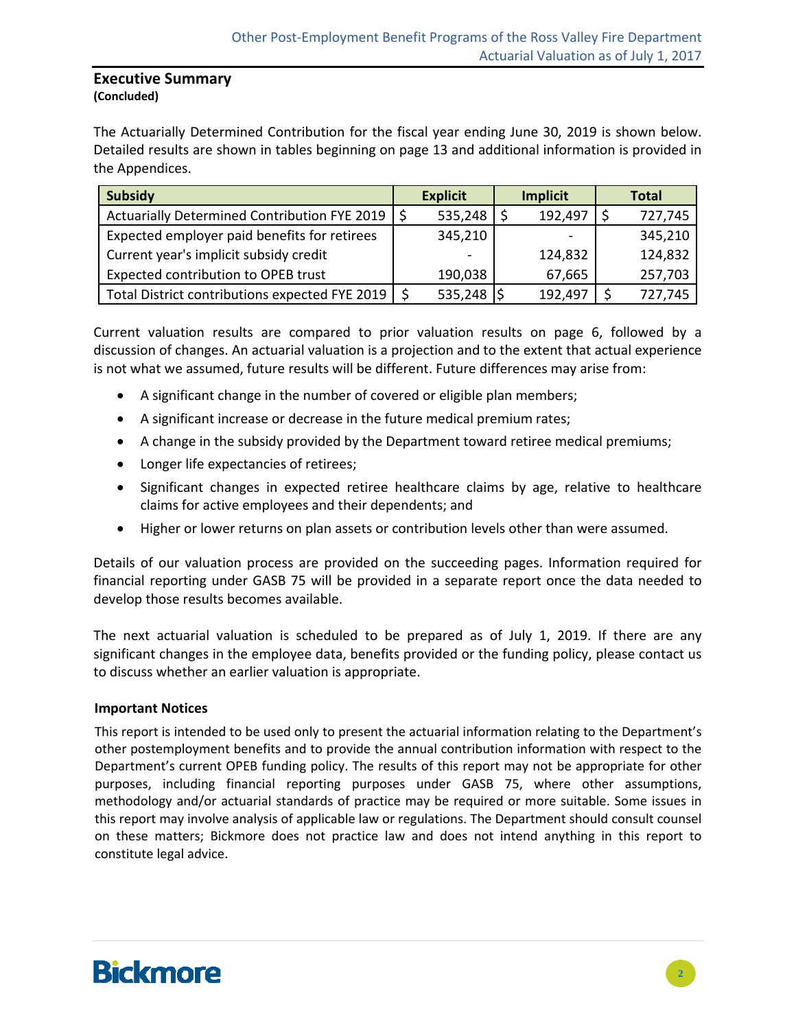#### **Executive Summary (Concluded)**

The Actuarially Determined Contribution for the fiscal year ending June 30, 2019 is shown below. Detailed results are shown in tables beginning on page 13 and additional information is provided in the Appendices.

| <b>Subsidy</b>                                      | <b>Explicit</b>          | <b>Implicit</b> | <b>Total</b> |
|-----------------------------------------------------|--------------------------|-----------------|--------------|
| Actuarially Determined Contribution FYE 2019        | 535,248                  | 192,497         | 727,745      |
| Expected employer paid benefits for retirees        | 345,210                  |                 | 345,210      |
| Current year's implicit subsidy credit              | $\overline{\phantom{a}}$ | 124,832         | 124,832      |
| Expected contribution to OPEB trust                 | 190,038                  | 67,665          | 257,703      |
| Total District contributions expected FYE 2019   \$ | 535,248                  | 192,497         | 727,745      |

Current valuation results are compared to prior valuation results on page 6, followed by a discussion of changes. An actuarial valuation is a projection and to the extent that actual experience is not what we assumed, future results will be different. Future differences may arise from:

- A significant change in the number of covered or eligible plan members;
- A significant increase or decrease in the future medical premium rates;
- A change in the subsidy provided by the Department toward retiree medical premiums;
- Longer life expectancies of retirees;
- Significant changes in expected retiree healthcare claims by age, relative to healthcare claims for active employees and their dependents; and
- Higher or lower returns on plan assets or contribution levels other than were assumed.

Details of our valuation process are provided on the succeeding pages. Information required for financial reporting under GASB 75 will be provided in a separate report once the data needed to develop those results becomes available.

The next actuarial valuation is scheduled to be prepared as of July 1, 2019. If there are any significant changes in the employee data, benefits provided or the funding policy, please contact us to discuss whether an earlier valuation is appropriate.

#### **Important Notices**

This report is intended to be used only to present the actuarial information relating to the Department's other postemployment benefits and to provide the annual contribution information with respect to the Department's current OPEB funding policy. The results of this report may not be appropriate for other purposes, including financial reporting purposes under GASB 75, where other assumptions, methodology and/or actuarial standards of practice may be required or more suitable. Some issues in this report may involve analysis of applicable law or regulations. The Department should consult counsel on these matters; Bickmore does not practice law and does not intend anything in this report to constitute legal advice.

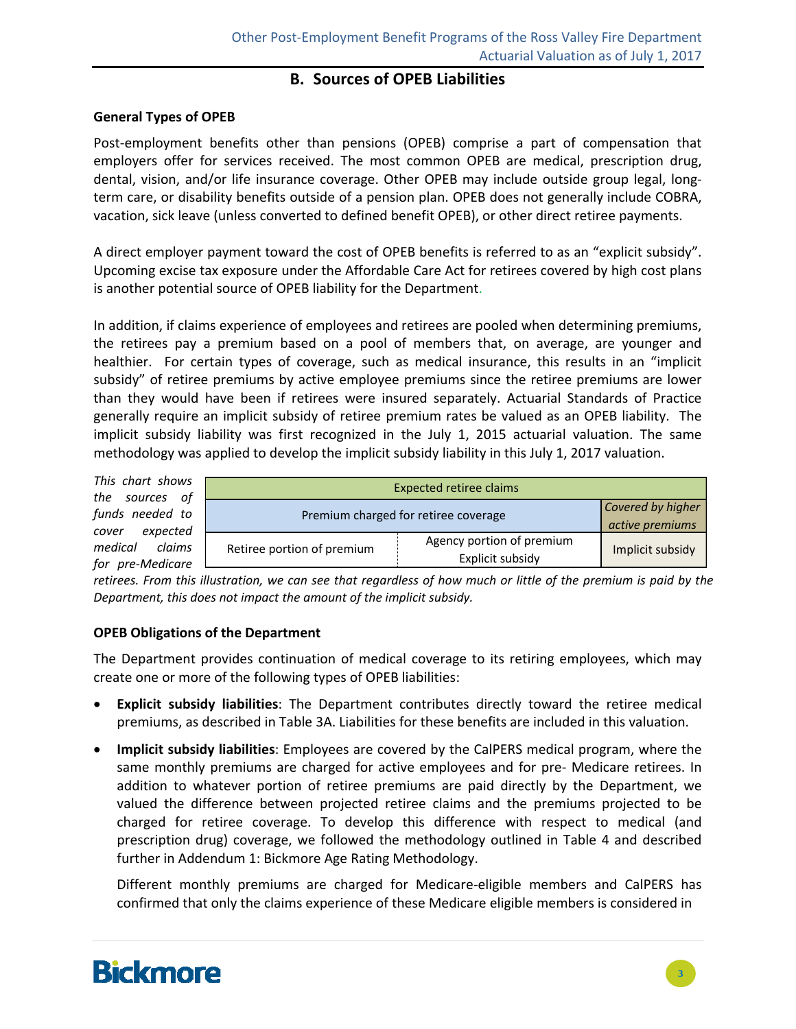#### **B. Sources of OPEB Liabilities**

#### **General Types of OPEB**

Post-employment benefits other than pensions (OPEB) comprise a part of compensation that employers offer for services received. The most common OPEB are medical, prescription drug, dental, vision, and/or life insurance coverage. Other OPEB may include outside group legal, long‐ term care, or disability benefits outside of a pension plan. OPEB does not generally include COBRA, vacation, sick leave (unless converted to defined benefit OPEB), or other direct retiree payments.

A direct employer payment toward the cost of OPEB benefits is referred to as an "explicit subsidy". Upcoming excise tax exposure under the Affordable Care Act for retirees covered by high cost plans is another potential source of OPEB liability for the Department.

In addition, if claims experience of employees and retirees are pooled when determining premiums, the retirees pay a premium based on a pool of members that, on average, are younger and healthier. For certain types of coverage, such as medical insurance, this results in an "implicit" subsidy" of retiree premiums by active employee premiums since the retiree premiums are lower than they would have been if retirees were insured separately. Actuarial Standards of Practice generally require an implicit subsidy of retiree premium rates be valued as an OPEB liability. The implicit subsidy liability was first recognized in the July 1, 2015 actuarial valuation. The same methodology was applied to develop the implicit subsidy liability in this July 1, 2017 valuation.

*This chart shows the sources of funds needed to cover expected medical claims for pre‐Medicare*

|         | <b>Expected retiree claims</b>       |                                               |                  |  |  |  |  |  |
|---------|--------------------------------------|-----------------------------------------------|------------------|--|--|--|--|--|
| 0<br>d  | Premium charged for retiree coverage | Covered by higher<br>active premiums          |                  |  |  |  |  |  |
| S.<br>ρ | Retiree portion of premium           | Agency portion of premium<br>Explicit subsidy | Implicit subsidy |  |  |  |  |  |

retirees. From this illustration, we can see that regardless of how much or little of the premium is paid by the *Department, this does not impact the amount of the implicit subsidy.*

#### **OPEB Obligations of the Department**

The Department provides continuation of medical coverage to its retiring employees, which may create one or more of the following types of OPEB liabilities:

- **Explicit subsidy liabilities**: The Department contributes directly toward the retiree medical premiums, as described in Table 3A. Liabilities for these benefits are included in this valuation.
- **Implicit subsidy liabilities**: Employees are covered by the CalPERS medical program, where the same monthly premiums are charged for active employees and for pre- Medicare retirees. In addition to whatever portion of retiree premiums are paid directly by the Department, we valued the difference between projected retiree claims and the premiums projected to be charged for retiree coverage. To develop this difference with respect to medical (and prescription drug) coverage, we followed the methodology outlined in Table 4 and described further in Addendum 1: Bickmore Age Rating Methodology.

Different monthly premiums are charged for Medicare‐eligible members and CalPERS has confirmed that only the claims experience of these Medicare eligible members is considered in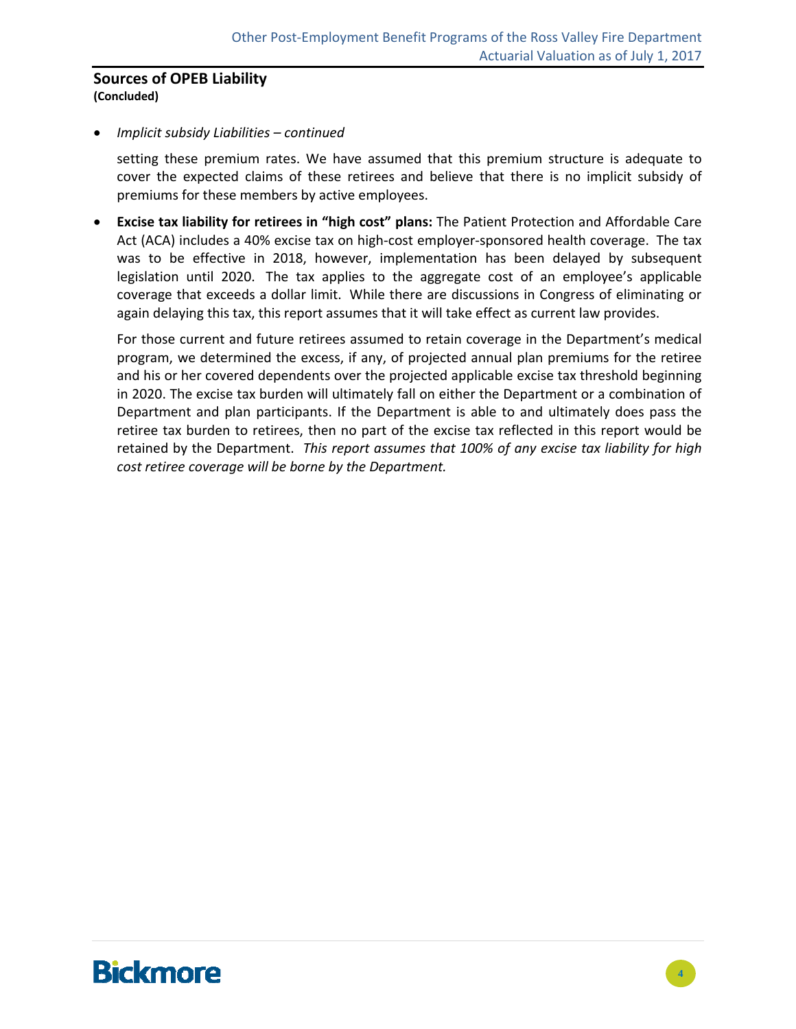#### **Sources of OPEB Liability (Concluded)**

#### *Implicit subsidy Liabilities – continued*

setting these premium rates. We have assumed that this premium structure is adequate to cover the expected claims of these retirees and believe that there is no implicit subsidy of premiums for these members by active employees.

 **Excise tax liability for retirees in "high cost" plans:** The Patient Protection and Affordable Care Act (ACA) includes a 40% excise tax on high-cost employer-sponsored health coverage. The tax was to be effective in 2018, however, implementation has been delayed by subsequent legislation until 2020. The tax applies to the aggregate cost of an employee's applicable coverage that exceeds a dollar limit. While there are discussions in Congress of eliminating or again delaying this tax, this report assumes that it will take effect as current law provides.

For those current and future retirees assumed to retain coverage in the Department's medical program, we determined the excess, if any, of projected annual plan premiums for the retiree and his or her covered dependents over the projected applicable excise tax threshold beginning in 2020. The excise tax burden will ultimately fall on either the Department or a combination of Department and plan participants. If the Department is able to and ultimately does pass the retiree tax burden to retirees, then no part of the excise tax reflected in this report would be retained by the Department. *This report assumes that 100% of any excise tax liability for high cost retiree coverage will be borne by the Department.*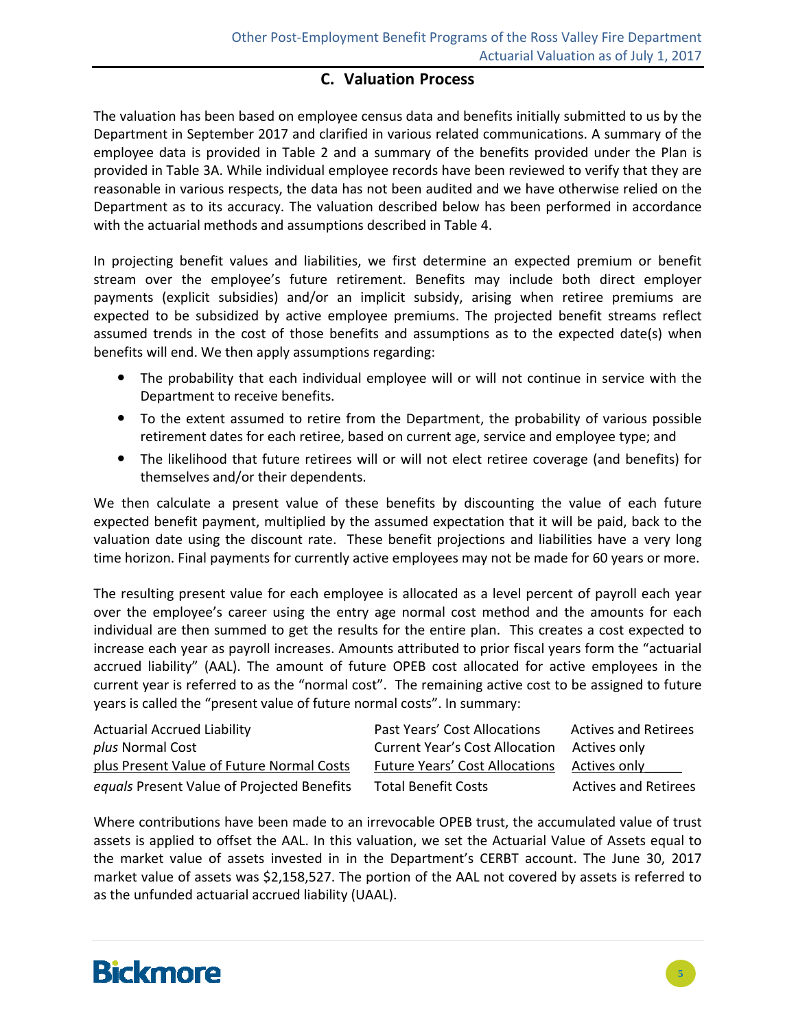#### **C. Valuation Process**

The valuation has been based on employee census data and benefits initially submitted to us by the Department in September 2017 and clarified in various related communications. A summary of the employee data is provided in Table 2 and a summary of the benefits provided under the Plan is provided in Table 3A. While individual employee records have been reviewed to verify that they are reasonable in various respects, the data has not been audited and we have otherwise relied on the Department as to its accuracy. The valuation described below has been performed in accordance with the actuarial methods and assumptions described in Table 4.

In projecting benefit values and liabilities, we first determine an expected premium or benefit stream over the employee's future retirement. Benefits may include both direct employer payments (explicit subsidies) and/or an implicit subsidy, arising when retiree premiums are expected to be subsidized by active employee premiums. The projected benefit streams reflect assumed trends in the cost of those benefits and assumptions as to the expected date(s) when benefits will end. We then apply assumptions regarding:

- The probability that each individual employee will or will not continue in service with the Department to receive benefits.
- To the extent assumed to retire from the Department, the probability of various possible retirement dates for each retiree, based on current age, service and employee type; and
- The likelihood that future retirees will or will not elect retiree coverage (and benefits) for themselves and/or their dependents.

We then calculate a present value of these benefits by discounting the value of each future expected benefit payment, multiplied by the assumed expectation that it will be paid, back to the valuation date using the discount rate. These benefit projections and liabilities have a very long time horizon. Final payments for currently active employees may not be made for 60 years or more.

The resulting present value for each employee is allocated as a level percent of payroll each year over the employee's career using the entry age normal cost method and the amounts for each individual are then summed to get the results for the entire plan. This creates a cost expected to increase each year as payroll increases. Amounts attributed to prior fiscal years form the "actuarial accrued liability" (AAL). The amount of future OPEB cost allocated for active employees in the current year is referred to as the "normal cost". The remaining active cost to be assigned to future years is called the "present value of future normal costs". In summary:

| <b>Actuarial Accrued Liability</b>         | Past Years' Cost Allocations          | <b>Actives and Retirees</b> |
|--------------------------------------------|---------------------------------------|-----------------------------|
| plus Normal Cost                           | <b>Current Year's Cost Allocation</b> | Actives only                |
| plus Present Value of Future Normal Costs  | <b>Future Years' Cost Allocations</b> | Actives only                |
| equals Present Value of Projected Benefits | <b>Total Benefit Costs</b>            | <b>Actives and Retirees</b> |

Where contributions have been made to an irrevocable OPEB trust, the accumulated value of trust assets is applied to offset the AAL. In this valuation, we set the Actuarial Value of Assets equal to the market value of assets invested in in the Department's CERBT account. The June 30, 2017 market value of assets was \$2,158,527. The portion of the AAL not covered by assets is referred to as the unfunded actuarial accrued liability (UAAL).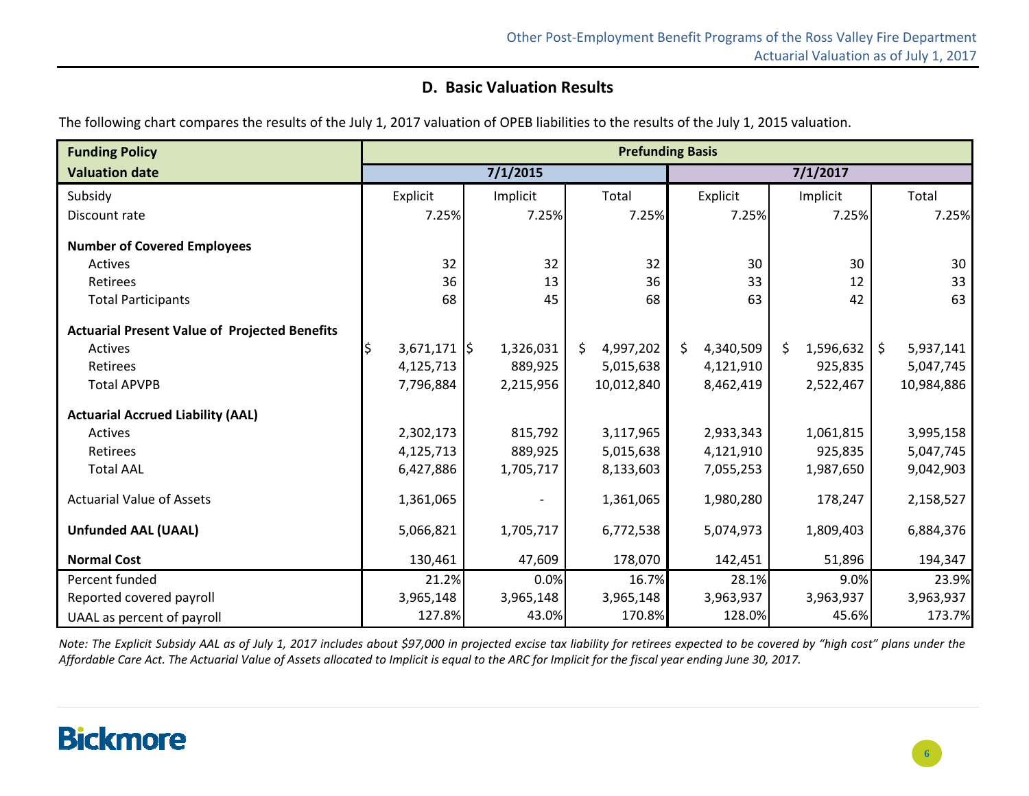### **D. Basic Valuation Results**

The following chart compares the results of the July 1, 2017 valuation of OPEB liabilities to the results of the July 1, 2015 valuation.

| <b>Funding Policy</b>                                | <b>Prefunding Basis</b>             |           |                 |                  |                 |                 |
|------------------------------------------------------|-------------------------------------|-----------|-----------------|------------------|-----------------|-----------------|
| <b>Valuation date</b>                                |                                     | 7/1/2015  |                 |                  | 7/1/2017        |                 |
| Subsidy                                              | Explicit                            | Implicit  | Total           | Explicit         | Implicit        | Total           |
| Discount rate                                        | 7.25%                               | 7.25%     | 7.25%           | 7.25%            | 7.25%           | 7.25%           |
| <b>Number of Covered Employees</b>                   |                                     |           |                 |                  |                 |                 |
| Actives                                              | 32                                  | 32        | 32              | 30               | 30              | 30              |
| Retirees                                             | 36                                  | 13        | 36              | 33               | 12              | 33              |
| <b>Total Participants</b>                            | 68                                  | 45        | 68              | 63               | 42              | 63              |
| <b>Actuarial Present Value of Projected Benefits</b> |                                     |           |                 |                  |                 |                 |
| <b>Actives</b>                                       | $3,671,171$ $\left.\right\vert \xi$ | 1,326,031 | 4,997,202<br>S. | 4,340,509<br>\$. | \$<br>1,596,632 | 5,937,141<br>\$ |
| Retirees                                             | 4,125,713                           | 889,925   | 5,015,638       | 4,121,910        | 925,835         | 5,047,745       |
| <b>Total APVPB</b>                                   | 7,796,884                           | 2,215,956 | 10,012,840      | 8,462,419        | 2,522,467       | 10,984,886      |
| <b>Actuarial Accrued Liability (AAL)</b>             |                                     |           |                 |                  |                 |                 |
| Actives                                              | 2,302,173                           | 815,792   | 3,117,965       | 2,933,343        | 1,061,815       | 3,995,158       |
| Retirees                                             | 4,125,713                           | 889,925   | 5,015,638       | 4,121,910        | 925,835         | 5,047,745       |
| <b>Total AAL</b>                                     | 6,427,886                           | 1,705,717 | 8,133,603       | 7,055,253        | 1,987,650       | 9,042,903       |
| <b>Actuarial Value of Assets</b>                     | 1,361,065                           |           | 1,361,065       | 1,980,280        | 178,247         | 2,158,527       |
| <b>Unfunded AAL (UAAL)</b>                           | 5,066,821                           | 1,705,717 | 6,772,538       | 5,074,973        | 1,809,403       | 6,884,376       |
| <b>Normal Cost</b>                                   | 130,461                             | 47,609    | 178,070         | 142,451          | 51,896          | 194,347         |
| Percent funded                                       | 21.2%                               | 0.0%      | 16.7%           | 28.1%            | 9.0%            | 23.9%           |
| Reported covered payroll                             | 3,965,148                           | 3,965,148 | 3,965,148       | 3,963,937        | 3,963,937       | 3,963,937       |
| UAAL as percent of payroll                           | 127.8%                              | 43.0%     | 170.8%          | 128.0%           | 45.6%           | 173.7%          |

Note: The Explicit Subsidy AAL as of July 1, 2017 includes about \$97,000 in projected excise tax liability for retirees expected to be covered by "high cost" plans under the Affordable Care Act. The Actuarial Value of Assets allocated to Implicit is equal to the ARC for Implicit for the fiscal year ending June 30, 2017.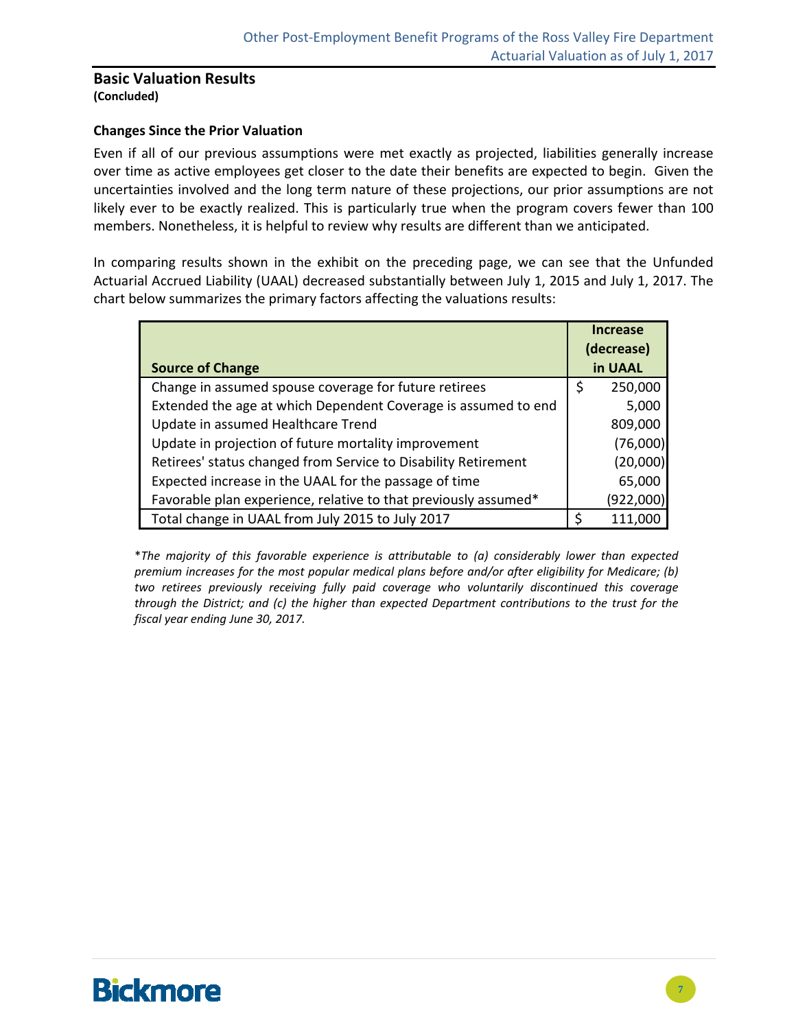#### **Basic Valuation Results (Concluded)**

#### **Changes Since the Prior Valuation**

Even if all of our previous assumptions were met exactly as projected, liabilities generally increase over time as active employees get closer to the date their benefits are expected to begin. Given the uncertainties involved and the long term nature of these projections, our prior assumptions are not likely ever to be exactly realized. This is particularly true when the program covers fewer than 100 members. Nonetheless, it is helpful to review why results are different than we anticipated.

In comparing results shown in the exhibit on the preceding page, we can see that the Unfunded Actuarial Accrued Liability (UAAL) decreased substantially between July 1, 2015 and July 1, 2017. The chart below summarizes the primary factors affecting the valuations results:

|                                                                 | <b>Increase</b> |
|-----------------------------------------------------------------|-----------------|
|                                                                 | (decrease)      |
| <b>Source of Change</b>                                         | in UAAL         |
| Change in assumed spouse coverage for future retirees           | 250,000<br>\$   |
| Extended the age at which Dependent Coverage is assumed to end  | 5,000           |
| Update in assumed Healthcare Trend                              | 809,000         |
| Update in projection of future mortality improvement            | (76,000)        |
| Retirees' status changed from Service to Disability Retirement  | (20,000)        |
| Expected increase in the UAAL for the passage of time           | 65,000          |
| Favorable plan experience, relative to that previously assumed* | (922,000)       |
| Total change in UAAL from July 2015 to July 2017                | \$<br>111,000   |

\**The majority of this favorable experience is attributable to (a) considerably lower than expected premium increases for the most popular medical plans before and/or after eligibility for Medicare; (b) two retirees previously receiving fully paid coverage who voluntarily discontinued this coverage through the District; and (c) the higher than expected Department contributions to the trust for the fiscal year ending June 30, 2017.*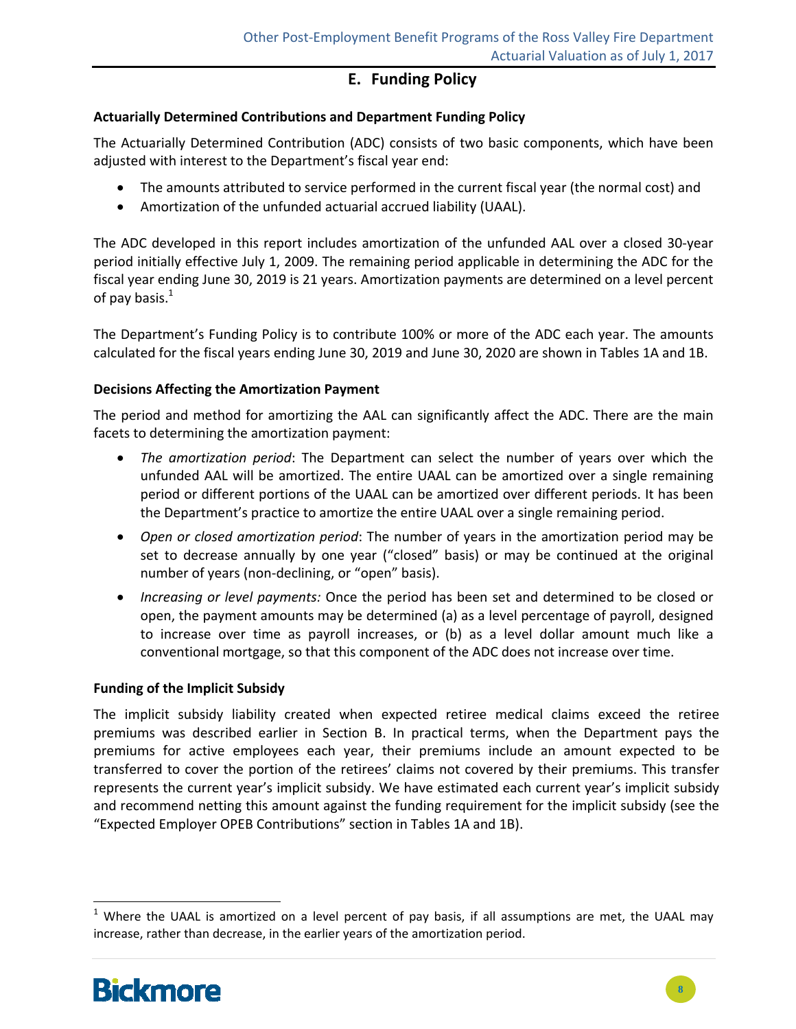#### **E. Funding Policy**

#### **Actuarially Determined Contributions and Department Funding Policy**

The Actuarially Determined Contribution (ADC) consists of two basic components, which have been adjusted with interest to the Department's fiscal year end:

- The amounts attributed to service performed in the current fiscal year (the normal cost) and
- Amortization of the unfunded actuarial accrued liability (UAAL).

The ADC developed in this report includes amortization of the unfunded AAL over a closed 30‐year period initially effective July 1, 2009. The remaining period applicable in determining the ADC for the fiscal year ending June 30, 2019 is 21 years. Amortization payments are determined on a level percent of pay basis. $<sup>1</sup>$ </sup>

The Department's Funding Policy is to contribute 100% or more of the ADC each year. The amounts calculated for the fiscal years ending June 30, 2019 and June 30, 2020 are shown in Tables 1A and 1B.

#### **Decisions Affecting the Amortization Payment**

The period and method for amortizing the AAL can significantly affect the ADC. There are the main facets to determining the amortization payment:

- *The amortization period*: The Department can select the number of years over which the unfunded AAL will be amortized. The entire UAAL can be amortized over a single remaining period or different portions of the UAAL can be amortized over different periods. It has been the Department's practice to amortize the entire UAAL over a single remaining period.
- *Open or closed amortization period*: The number of years in the amortization period may be set to decrease annually by one year ("closed" basis) or may be continued at the original number of years (non‐declining, or "open" basis).
- *Increasing or level payments:* Once the period has been set and determined to be closed or open, the payment amounts may be determined (a) as a level percentage of payroll, designed to increase over time as payroll increases, or (b) as a level dollar amount much like a conventional mortgage, so that this component of the ADC does not increase over time.

#### **Funding of the Implicit Subsidy**

The implicit subsidy liability created when expected retiree medical claims exceed the retiree premiums was described earlier in Section B. In practical terms, when the Department pays the premiums for active employees each year, their premiums include an amount expected to be transferred to cover the portion of the retirees' claims not covered by their premiums. This transfer represents the current year's implicit subsidy. We have estimated each current year's implicit subsidy and recommend netting this amount against the funding requirement for the implicit subsidy (see the "Expected Employer OPEB Contributions" section in Tables 1A and 1B).



 $1$  Where the UAAL is amortized on a level percent of pay basis, if all assumptions are met, the UAAL may increase, rather than decrease, in the earlier years of the amortization period.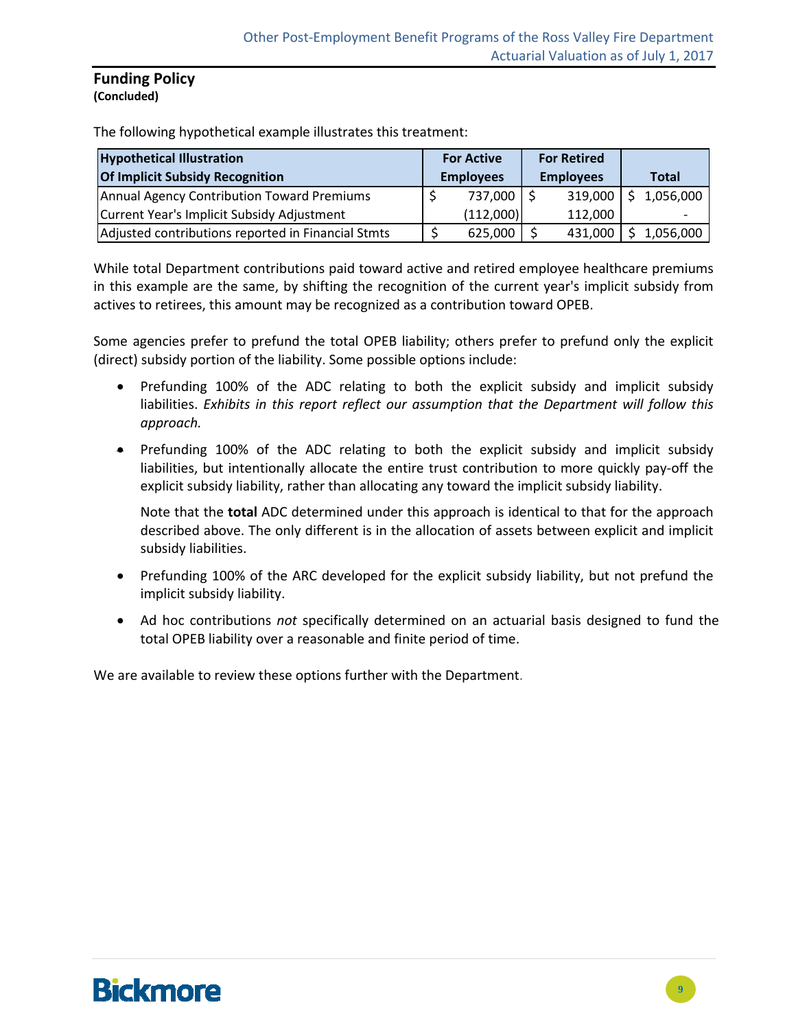#### **Funding Policy (Concluded)**

The following hypothetical example illustrates this treatment:

| <b>Hypothetical Illustration</b>                   | <b>For Active</b> | <b>For Retired</b> |                  |  |              |
|----------------------------------------------------|-------------------|--------------------|------------------|--|--------------|
| <b>Of Implicit Subsidy Recognition</b>             | <b>Employees</b>  |                    | <b>Employees</b> |  | <b>Total</b> |
| Annual Agency Contribution Toward Premiums         | 737,000 \$        |                    | 319,000          |  | 1,056,000    |
| Current Year's Implicit Subsidy Adjustment         | (112,000)         |                    | 112.000          |  |              |
| Adjusted contributions reported in Financial Stmts | 625,000           |                    | 431,000          |  | 1,056,000    |

While total Department contributions paid toward active and retired employee healthcare premiums in this example are the same, by shifting the recognition of the current year's implicit subsidy from actives to retirees, this amount may be recognized as a contribution toward OPEB.

Some agencies prefer to prefund the total OPEB liability; others prefer to prefund only the explicit (direct) subsidy portion of the liability. Some possible options include:

- Prefunding 100% of the ADC relating to both the explicit subsidy and implicit subsidy liabilities. *Exhibits in this report reflect our assumption that the Department will follow this approach.*
- Prefunding 100% of the ADC relating to both the explicit subsidy and implicit subsidy liabilities, but intentionally allocate the entire trust contribution to more quickly pay‐off the explicit subsidy liability, rather than allocating any toward the implicit subsidy liability.

Note that the **total** ADC determined under this approach is identical to that for the approach described above. The only different is in the allocation of assets between explicit and implicit subsidy liabilities.

- Prefunding 100% of the ARC developed for the explicit subsidy liability, but not prefund the implicit subsidy liability.
- Ad hoc contributions *not* specifically determined on an actuarial basis designed to fund the total OPEB liability over a reasonable and finite period of time.

We are available to review these options further with the Department.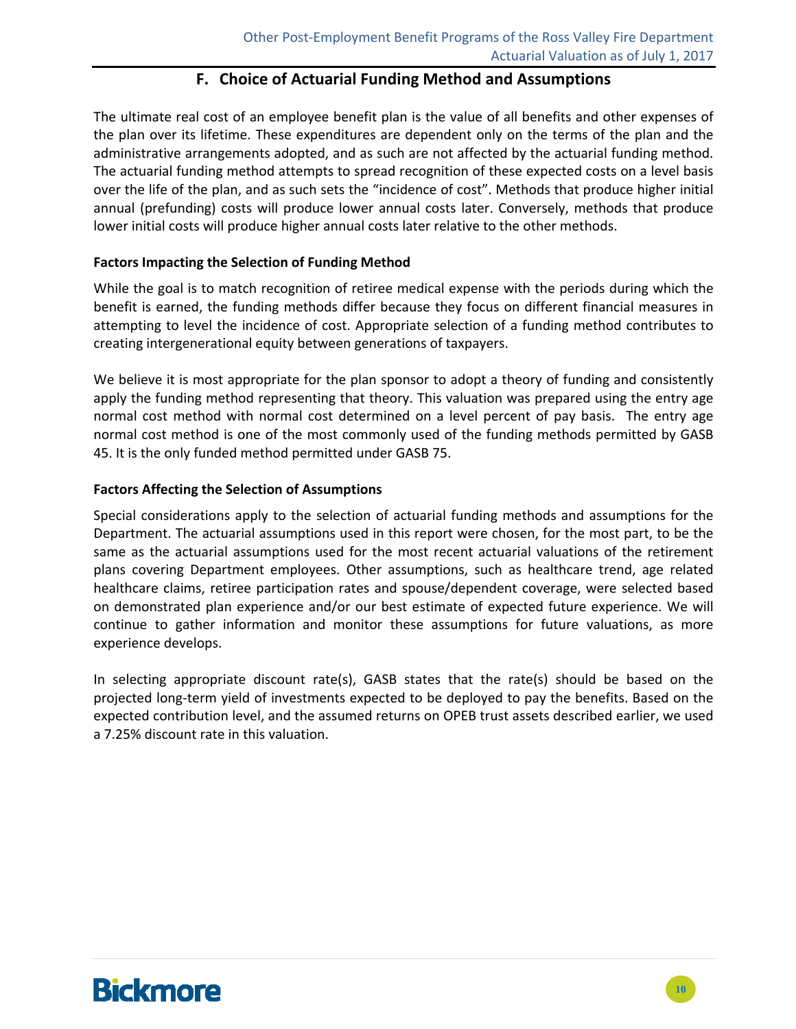#### **F. Choice of Actuarial Funding Method and Assumptions**

The ultimate real cost of an employee benefit plan is the value of all benefits and other expenses of the plan over its lifetime. These expenditures are dependent only on the terms of the plan and the administrative arrangements adopted, and as such are not affected by the actuarial funding method. The actuarial funding method attempts to spread recognition of these expected costs on a level basis over the life of the plan, and as such sets the "incidence of cost". Methods that produce higher initial annual (prefunding) costs will produce lower annual costs later. Conversely, methods that produce lower initial costs will produce higher annual costs later relative to the other methods.

#### **Factors Impacting the Selection of Funding Method**

While the goal is to match recognition of retiree medical expense with the periods during which the benefit is earned, the funding methods differ because they focus on different financial measures in attempting to level the incidence of cost. Appropriate selection of a funding method contributes to creating intergenerational equity between generations of taxpayers.

We believe it is most appropriate for the plan sponsor to adopt a theory of funding and consistently apply the funding method representing that theory. This valuation was prepared using the entry age normal cost method with normal cost determined on a level percent of pay basis. The entry age normal cost method is one of the most commonly used of the funding methods permitted by GASB 45. It is the only funded method permitted under GASB 75.

#### **Factors Affecting the Selection of Assumptions**

Special considerations apply to the selection of actuarial funding methods and assumptions for the Department. The actuarial assumptions used in this report were chosen, for the most part, to be the same as the actuarial assumptions used for the most recent actuarial valuations of the retirement plans covering Department employees. Other assumptions, such as healthcare trend, age related healthcare claims, retiree participation rates and spouse/dependent coverage, were selected based on demonstrated plan experience and/or our best estimate of expected future experience. We will continue to gather information and monitor these assumptions for future valuations, as more experience develops.

In selecting appropriate discount rate(s), GASB states that the rate(s) should be based on the projected long‐term yield of investments expected to be deployed to pay the benefits. Based on the expected contribution level, and the assumed returns on OPEB trust assets described earlier, we used a 7.25% discount rate in this valuation.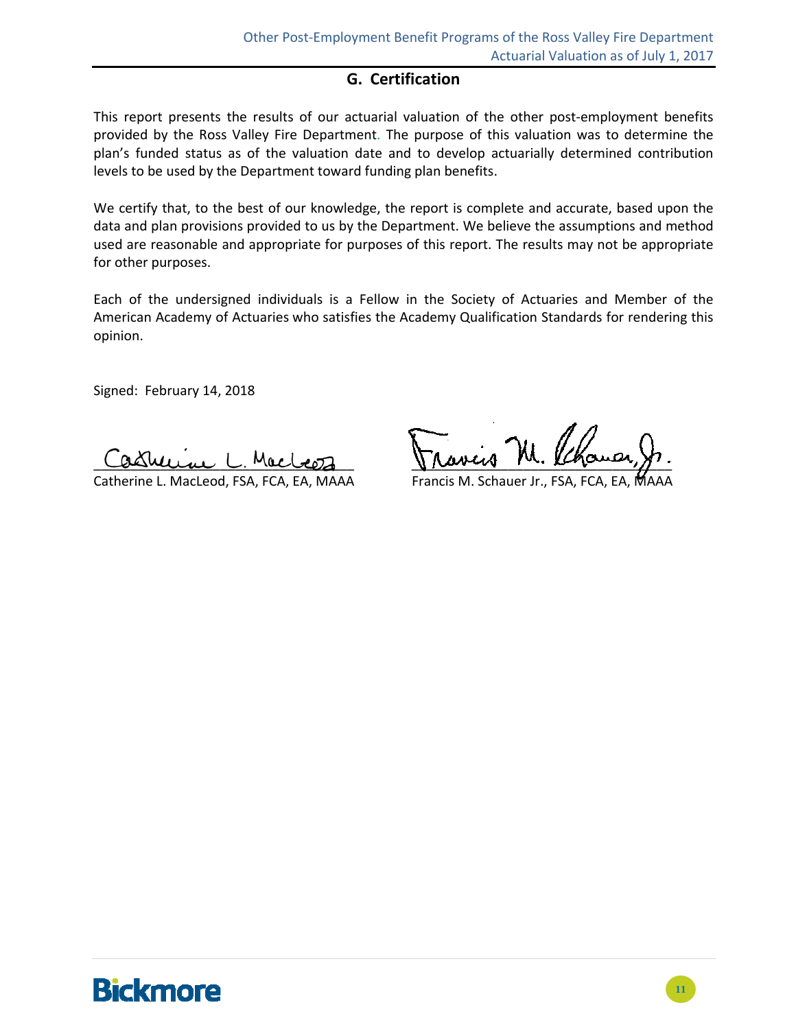#### **G. Certification**

This report presents the results of our actuarial valuation of the other post-employment benefits provided by the Ross Valley Fire Department. The purpose of this valuation was to determine the plan's funded status as of the valuation date and to develop actuarially determined contribution levels to be used by the Department toward funding plan benefits.

We certify that, to the best of our knowledge, the report is complete and accurate, based upon the data and plan provisions provided to us by the Department. We believe the assumptions and method used are reasonable and appropriate for purposes of this report. The results may not be appropriate for other purposes.

Each of the undersigned individuals is a Fellow in the Society of Actuaries and Member of the American Academy of Actuaries who satisfies the Academy Qualification Standards for rendering this opinion.

Signed: February 14, 2018

Catherine L. MacLeod, FSA, FCA, EA, MAAA Francis M. Schauer Jr., FSA, FCA, EA

Castruin L. Macleoz Jravis M. Phomar,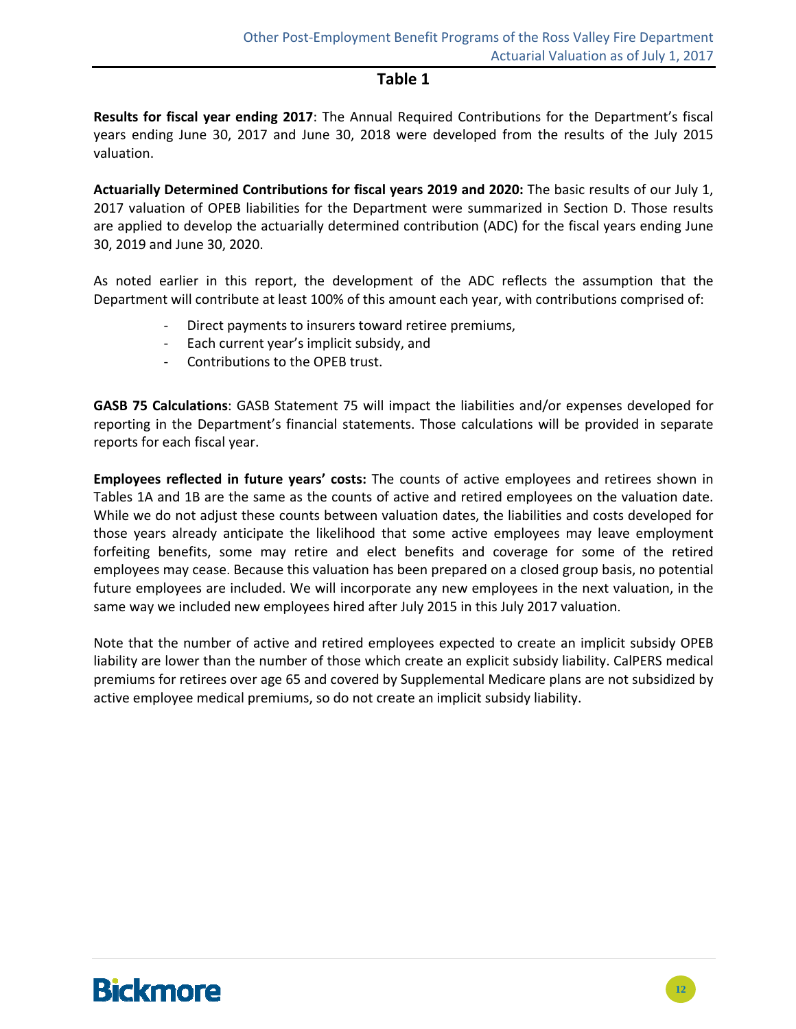#### **Table 1**

**Results for fiscal year ending 2017**: The Annual Required Contributions for the Department's fiscal years ending June 30, 2017 and June 30, 2018 were developed from the results of the July 2015 valuation.

**Actuarially Determined Contributions for fiscal years 2019 and 2020:** The basic results of our July 1, 2017 valuation of OPEB liabilities for the Department were summarized in Section D. Those results are applied to develop the actuarially determined contribution (ADC) for the fiscal years ending June 30, 2019 and June 30, 2020.

As noted earlier in this report, the development of the ADC reflects the assumption that the Department will contribute at least 100% of this amount each year, with contributions comprised of:

- ‐ Direct payments to insurers toward retiree premiums,
- ‐ Each current year's implicit subsidy, and
- ‐ Contributions to the OPEB trust.

**GASB 75 Calculations**: GASB Statement 75 will impact the liabilities and/or expenses developed for reporting in the Department's financial statements. Those calculations will be provided in separate reports for each fiscal year.

**Employees reflected in future years' costs:** The counts of active employees and retirees shown in Tables 1A and 1B are the same as the counts of active and retired employees on the valuation date. While we do not adjust these counts between valuation dates, the liabilities and costs developed for those years already anticipate the likelihood that some active employees may leave employment forfeiting benefits, some may retire and elect benefits and coverage for some of the retired employees may cease. Because this valuation has been prepared on a closed group basis, no potential future employees are included. We will incorporate any new employees in the next valuation, in the same way we included new employees hired after July 2015 in this July 2017 valuation.

Note that the number of active and retired employees expected to create an implicit subsidy OPEB liability are lower than the number of those which create an explicit subsidy liability. CalPERS medical premiums for retirees over age 65 and covered by Supplemental Medicare plans are not subsidized by active employee medical premiums, so do not create an implicit subsidy liability.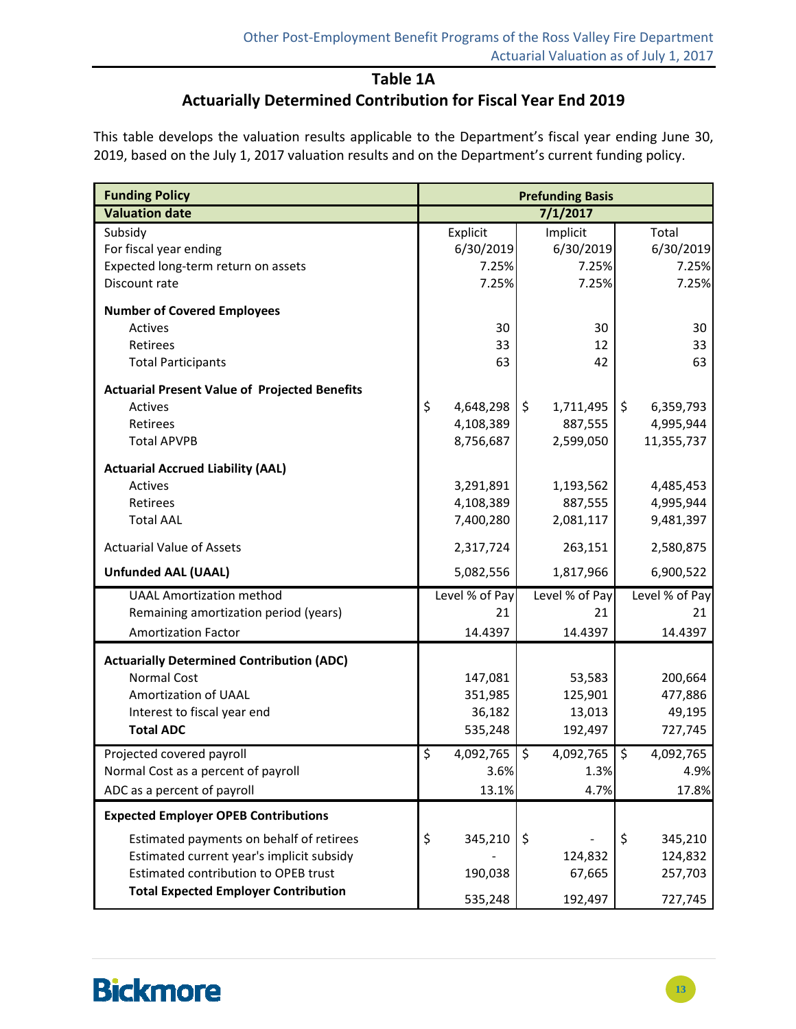#### **Table 1A**

### **Actuarially Determined Contribution for Fiscal Year End 2019**

This table develops the valuation results applicable to the Department's fiscal year ending June 30, 2019, based on the July 1, 2017 valuation results and on the Department's current funding policy.

| <b>Funding Policy</b>                                | <b>Prefunding Basis</b> |                 |                      |  |
|------------------------------------------------------|-------------------------|-----------------|----------------------|--|
| <b>Valuation date</b>                                |                         | 7/1/2017        |                      |  |
| Subsidy                                              | Explicit                | Implicit        | Total                |  |
| For fiscal year ending                               | 6/30/2019               | 6/30/2019       | 6/30/2019            |  |
| Expected long-term return on assets                  | 7.25%                   | 7.25%           | 7.25%                |  |
| Discount rate                                        | 7.25%                   | 7.25%           | 7.25%                |  |
| <b>Number of Covered Employees</b>                   |                         |                 |                      |  |
| Actives                                              | 30                      | 30              | 30                   |  |
| <b>Retirees</b>                                      | 33                      | 12              | 33                   |  |
| <b>Total Participants</b>                            | 63                      | 42              | 63                   |  |
| <b>Actuarial Present Value of Projected Benefits</b> |                         |                 |                      |  |
| Actives                                              | \$<br>4,648,298         | \$<br>1,711,495 | $\zeta$<br>6,359,793 |  |
| Retirees                                             | 4,108,389               | 887,555         | 4,995,944            |  |
| <b>Total APVPB</b>                                   | 8,756,687               | 2,599,050       | 11,355,737           |  |
| <b>Actuarial Accrued Liability (AAL)</b>             |                         |                 |                      |  |
| Actives                                              | 3,291,891               | 1,193,562       | 4,485,453            |  |
| <b>Retirees</b>                                      | 4,108,389               | 887,555         | 4,995,944            |  |
| <b>Total AAL</b>                                     | 7,400,280               | 2,081,117       | 9,481,397            |  |
| <b>Actuarial Value of Assets</b>                     | 2,317,724               | 263,151         | 2,580,875            |  |
| <b>Unfunded AAL (UAAL)</b>                           | 5,082,556               | 1,817,966       | 6,900,522            |  |
| <b>UAAL Amortization method</b>                      | Level % of Pay          | Level % of Pay  | Level % of Pay       |  |
| Remaining amortization period (years)                | 21                      | 21              | 21                   |  |
| <b>Amortization Factor</b>                           | 14.4397                 | 14.4397         | 14.4397              |  |
| <b>Actuarially Determined Contribution (ADC)</b>     |                         |                 |                      |  |
| <b>Normal Cost</b>                                   | 147,081                 | 53,583          | 200,664              |  |
| Amortization of UAAL                                 | 351,985                 | 125,901         | 477,886              |  |
| Interest to fiscal year end                          | 36,182                  | 13,013          | 49,195               |  |
| <b>Total ADC</b>                                     | 535,248                 | 192,497         | 727,745              |  |
| Projected covered payroll                            | \$<br>4,092,765         | \$<br>4,092,765 | \$<br>4,092,765      |  |
| Normal Cost as a percent of payroll                  | 3.6%                    | 1.3%            | 4.9%                 |  |
| ADC as a percent of payroll                          | 13.1%                   | 4.7%            | 17.8%                |  |
| <b>Expected Employer OPEB Contributions</b>          |                         |                 |                      |  |
| Estimated payments on behalf of retirees             | \$<br>345,210           | \$              | \$<br>345,210        |  |
| Estimated current year's implicit subsidy            |                         | 124,832         | 124,832              |  |
| <b>Estimated contribution to OPEB trust</b>          | 190,038                 | 67,665          | 257,703              |  |
| <b>Total Expected Employer Contribution</b>          | 535,248                 | 192,497         | 727,745              |  |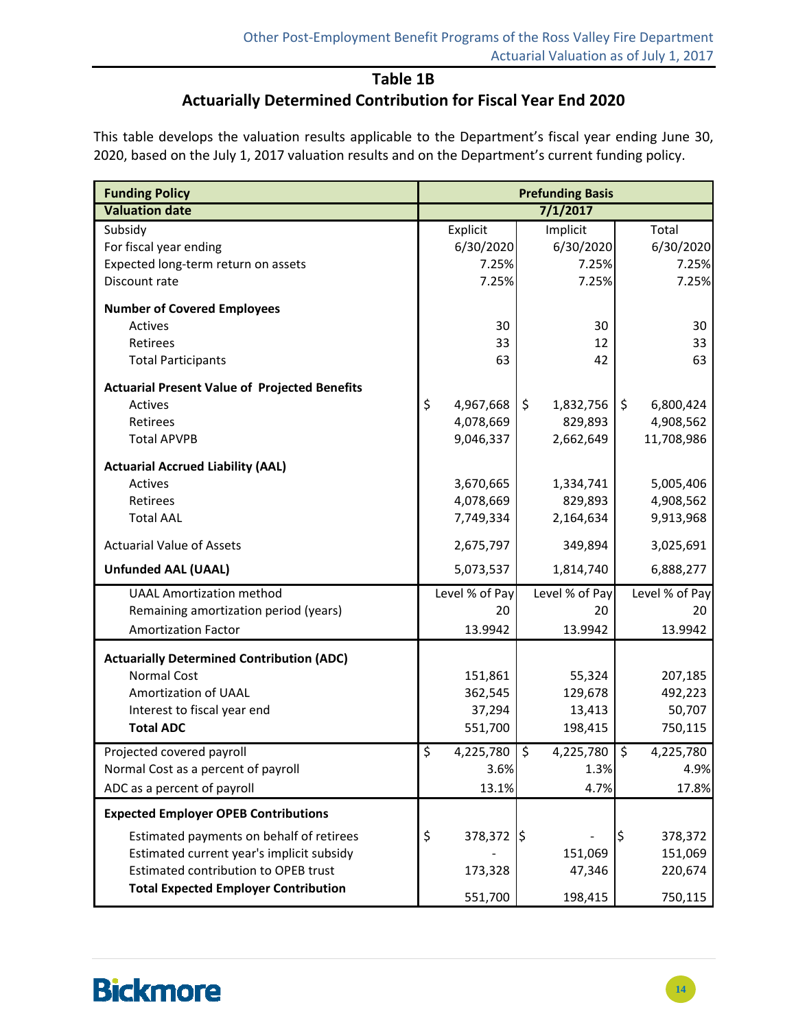#### **Table 1B**

### **Actuarially Determined Contribution for Fiscal Year End 2020**

This table develops the valuation results applicable to the Department's fiscal year ending June 30, 2020, based on the July 1, 2017 valuation results and on the Department's current funding policy.

| <b>Funding Policy</b>                                | <b>Prefunding Basis</b> |                 |                             |  |  |
|------------------------------------------------------|-------------------------|-----------------|-----------------------------|--|--|
| <b>Valuation date</b>                                |                         | 7/1/2017        |                             |  |  |
| Subsidy                                              | Explicit                | Implicit        | Total                       |  |  |
| For fiscal year ending                               | 6/30/2020               | 6/30/2020       | 6/30/2020                   |  |  |
| Expected long-term return on assets                  | 7.25%                   | 7.25%           | 7.25%                       |  |  |
| Discount rate                                        | 7.25%                   | 7.25%           | 7.25%                       |  |  |
| <b>Number of Covered Employees</b>                   |                         |                 |                             |  |  |
| Actives                                              | 30                      | 30              | 30                          |  |  |
| Retirees                                             | 33                      | 12              | 33                          |  |  |
| <b>Total Participants</b>                            | 63                      | 42              | 63                          |  |  |
| <b>Actuarial Present Value of Projected Benefits</b> |                         |                 |                             |  |  |
| Actives                                              | \$<br>4,967,668         | \$<br>1,832,756 | \$<br>6,800,424             |  |  |
| Retirees                                             | 4,078,669               | 829,893         | 4,908,562                   |  |  |
| <b>Total APVPB</b>                                   | 9,046,337               | 2,662,649       | 11,708,986                  |  |  |
| <b>Actuarial Accrued Liability (AAL)</b>             |                         |                 |                             |  |  |
| Actives                                              | 3,670,665               | 1,334,741       | 5,005,406                   |  |  |
| Retirees                                             | 4,078,669               | 829,893         | 4,908,562                   |  |  |
| <b>Total AAL</b>                                     | 7,749,334               | 2,164,634       | 9,913,968                   |  |  |
| <b>Actuarial Value of Assets</b>                     | 2,675,797               | 349,894         | 3,025,691                   |  |  |
| <b>Unfunded AAL (UAAL)</b>                           | 5,073,537               | 1,814,740       | 6,888,277                   |  |  |
| <b>UAAL Amortization method</b>                      | Level % of Pay          | Level % of Pay  | Level % of Pay              |  |  |
| Remaining amortization period (years)                | 20                      | 20              | 20                          |  |  |
| <b>Amortization Factor</b>                           | 13.9942                 | 13.9942         | 13.9942                     |  |  |
| <b>Actuarially Determined Contribution (ADC)</b>     |                         |                 |                             |  |  |
| <b>Normal Cost</b>                                   | 151,861                 | 55,324          | 207,185                     |  |  |
| Amortization of UAAL                                 | 362,545                 | 129,678         | 492,223                     |  |  |
| Interest to fiscal year end                          | 37,294                  | 13,413          | 50,707                      |  |  |
| <b>Total ADC</b>                                     | 551,700                 | 198,415         | 750,115                     |  |  |
| Projected covered payroll                            | \$<br>4,225,780         | \$<br>4,225,780 | \$<br>$\sqrt{4}$ , 225, 780 |  |  |
| Normal Cost as a percent of payroll                  | 3.6%                    | 1.3%            | 4.9%                        |  |  |
| ADC as a percent of payroll                          | 13.1%                   | 4.7%            | 17.8%                       |  |  |
| <b>Expected Employer OPEB Contributions</b>          |                         |                 |                             |  |  |
| Estimated payments on behalf of retirees             | \$<br>378,372 \$        |                 | l\$<br>378,372              |  |  |
| Estimated current year's implicit subsidy            |                         | 151,069         | 151,069                     |  |  |
| <b>Estimated contribution to OPEB trust</b>          | 173,328                 | 47,346          | 220,674                     |  |  |
| <b>Total Expected Employer Contribution</b>          | 551,700                 | 198,415         | 750,115                     |  |  |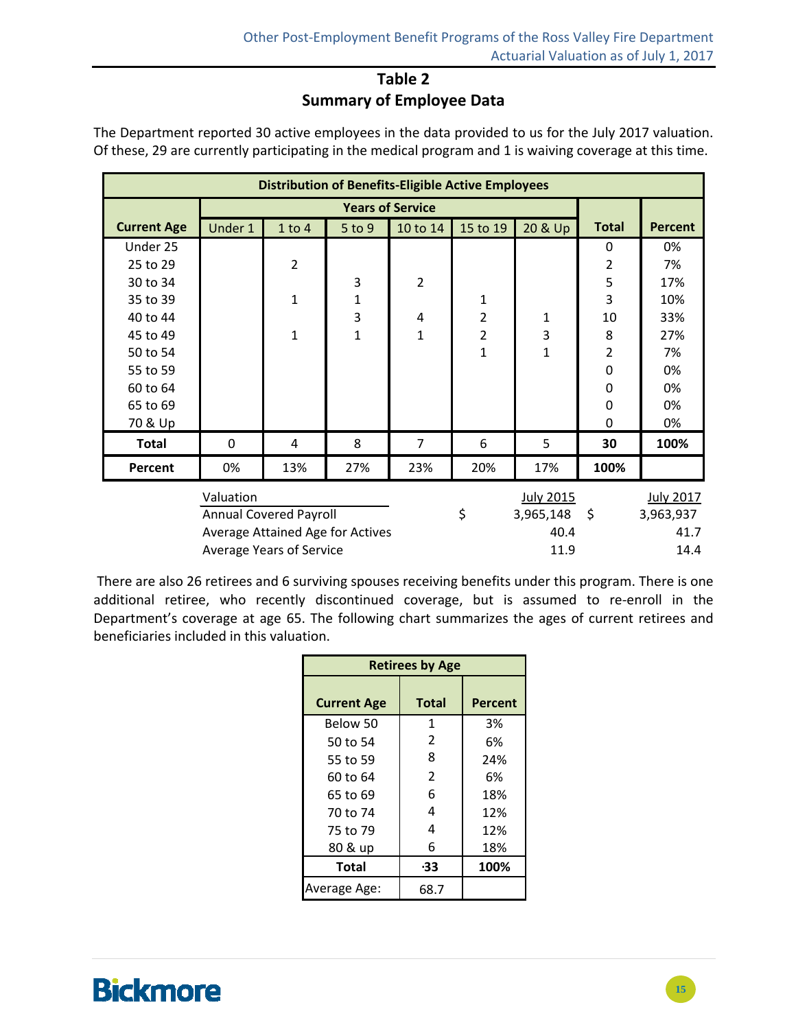### **Table 2 Summary of Employee Data**

|                    | <b>Distribution of Benefits-Eligible Active Employees</b> |                |                  |                |                  |              |                |                |  |
|--------------------|-----------------------------------------------------------|----------------|------------------|----------------|------------------|--------------|----------------|----------------|--|
|                    |                                                           |                |                  |                |                  |              |                |                |  |
| <b>Current Age</b> | Under 1                                                   | $1$ to $4$     | $5$ to 9         | 10 to 14       | 15 to 19         | 20 & Up      | <b>Total</b>   | <b>Percent</b> |  |
| Under 25           |                                                           |                |                  |                |                  |              | 0              | 0%             |  |
| 25 to 29           |                                                           | $\overline{2}$ |                  |                |                  |              | $\overline{2}$ | 7%             |  |
| 30 to 34           |                                                           |                | 3                | $\overline{2}$ |                  |              | 5              | 17%            |  |
| 35 to 39           |                                                           | $\mathbf{1}$   | $\mathbf 1$      |                | $\mathbf{1}$     |              | 3              | 10%            |  |
| 40 to 44           |                                                           |                | 3                | 4              | $\overline{2}$   | 1            | 10             | 33%            |  |
| 45 to 49           |                                                           | 1              | $\mathbf{1}$     | $\mathbf{1}$   | $\overline{2}$   | 3            | 8              | 27%            |  |
| 50 to 54           |                                                           |                |                  |                | 1                | $\mathbf{1}$ | $\overline{2}$ | 7%             |  |
| 55 to 59           |                                                           |                |                  |                |                  |              | $\Omega$       | 0%             |  |
| 60 to 64           |                                                           |                |                  |                |                  |              | $\Omega$       | 0%             |  |
| 65 to 69           |                                                           |                |                  |                |                  |              | $\Omega$       | 0%             |  |
| 70 & Up            |                                                           |                |                  |                |                  |              | $\Omega$       | 0%             |  |
| <b>Total</b>       | $\Omega$                                                  | 4              | 8                | 7              | 6                | 5            | 30             | 100%           |  |
| Percent            | 0%                                                        | 13%            | 27%              | 23%            | 20%              | 17%          | 100%           |                |  |
|                    |                                                           |                | <b>July 2015</b> |                | <b>July 2017</b> |              |                |                |  |

The Department reported 30 active employees in the data provided to us for the July 2017 valuation. Of these, 29 are currently participating in the medical program and 1 is waiving coverage at this time.

| Valuation                        | July 2015        | <b>July 2017</b> |
|----------------------------------|------------------|------------------|
| Annual Covered Payroll           | 3,965,148<br>- S | 3,963,937        |
| Average Attained Age for Actives | 40.4             | 41.7             |
| Average Years of Service         | 11.9             | 14.4             |

There are also 26 retirees and 6 surviving spouses receiving benefits under this program. There is one additional retiree, who recently discontinued coverage, but is assumed to re-enroll in the Department's coverage at age 65. The following chart summarizes the ages of current retirees and beneficiaries included in this valuation.

| <b>Retirees by Age</b> |                |                |  |  |  |  |  |  |
|------------------------|----------------|----------------|--|--|--|--|--|--|
| <b>Current Age</b>     | <b>Total</b>   | <b>Percent</b> |  |  |  |  |  |  |
| Below 50               | 1              | 3%             |  |  |  |  |  |  |
| 50 to 54               | $\overline{2}$ | 6%             |  |  |  |  |  |  |
| 55 to 59               | 8              | 24%            |  |  |  |  |  |  |
| 60 to 64               | $\overline{2}$ | 6%             |  |  |  |  |  |  |
| 65 to 69               | 6              | 18%            |  |  |  |  |  |  |
| 70 to 74               | 4              | 12%            |  |  |  |  |  |  |
| 75 to 79               | 4              | 12%            |  |  |  |  |  |  |
| 80 & up                | 6              | 18%            |  |  |  |  |  |  |
| <b>Total</b>           | -33            | 100%           |  |  |  |  |  |  |
| Average Age:           | 68.7           |                |  |  |  |  |  |  |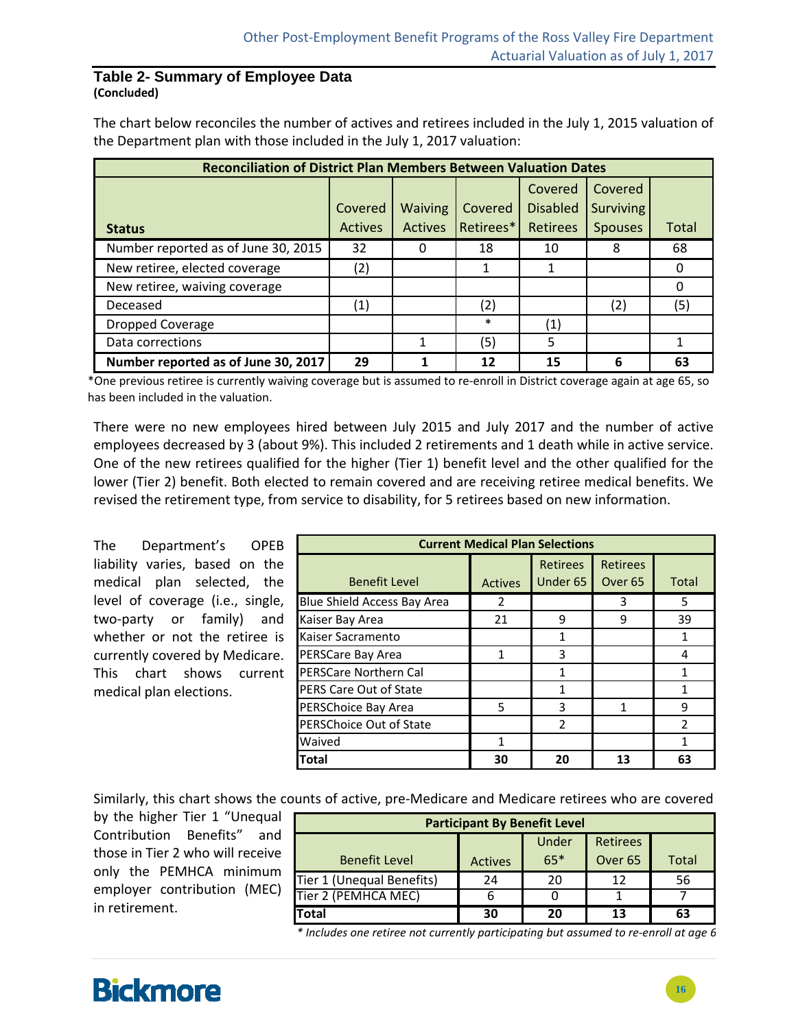#### **Table 2- Summary of Employee Data (Concluded)**

The chart below reconciles the number of actives and retirees included in the July 1, 2015 valuation of the Department plan with those included in the July 1, 2017 valuation:

| <b>Reconciliation of District Plan Members Between Valuation Dates</b> |                |                |           |                   |                  |              |  |  |  |
|------------------------------------------------------------------------|----------------|----------------|-----------|-------------------|------------------|--------------|--|--|--|
|                                                                        |                |                |           | Covered           | Covered          |              |  |  |  |
|                                                                        | Covered        | <b>Waiving</b> | Covered   | <b>Disabled</b>   | <b>Surviving</b> |              |  |  |  |
| <b>Status</b>                                                          | <b>Actives</b> | Actives        | Retirees* | <b>Retirees</b>   | <b>Spouses</b>   | <b>Total</b> |  |  |  |
| Number reported as of June 30, 2015                                    | 32             | 0              | 18        | 10                | 8                | 68           |  |  |  |
| New retiree, elected coverage                                          | (2)            |                |           |                   |                  |              |  |  |  |
| New retiree, waiving coverage                                          |                |                |           |                   |                  |              |  |  |  |
| Deceased                                                               | (1)            |                | (2)       |                   | (2)              | (5)          |  |  |  |
| <b>Dropped Coverage</b>                                                |                |                | ∗         | $\left( 1\right)$ |                  |              |  |  |  |
| Data corrections                                                       |                |                | (5)       | 5                 |                  |              |  |  |  |
| Number reported as of June 30, 2017                                    | 29             |                | 12        | 15                | 6                | 63           |  |  |  |

\*One previous retiree is currently waiving coverage but is assumed to re‐enroll in District coverage again at age 65, so has been included in the valuation.

There were no new employees hired between July 2015 and July 2017 and the number of active employees decreased by 3 (about 9%). This included 2 retirements and 1 death while in active service. One of the new retirees qualified for the higher (Tier 1) benefit level and the other qualified for the lower (Tier 2) benefit. Both elected to remain covered and are receiving retiree medical benefits. We revised the retirement type, from service to disability, for 5 retirees based on new information.

The Department's OPEB liability varies, based on the medical plan selected, the level of coverage (i.e., single, two‐party or family) and whether or not the retiree is currently covered by Medicare. This chart shows current medical plan elections.

| <b>Current Medical Plan Selections</b> |                |                 |                    |               |  |  |  |  |  |
|----------------------------------------|----------------|-----------------|--------------------|---------------|--|--|--|--|--|
|                                        |                | <b>Retirees</b> | <b>Retirees</b>    |               |  |  |  |  |  |
| <b>Benefit Level</b>                   | <b>Actives</b> | Under 65        | Over <sub>65</sub> | <b>Total</b>  |  |  |  |  |  |
| Blue Shield Access Bay Area            | 2              |                 | 3                  | 5             |  |  |  |  |  |
| Kaiser Bay Area                        | 21             | q               | 9                  | 39            |  |  |  |  |  |
| Kaiser Sacramento                      |                | 1               |                    |               |  |  |  |  |  |
| PERSCare Bay Area                      | 1              | 3               |                    | 4             |  |  |  |  |  |
| <b>PERSCare Northern Cal</b>           |                |                 |                    |               |  |  |  |  |  |
| <b>PERS Care Out of State</b>          |                |                 |                    |               |  |  |  |  |  |
| PERSChoice Bay Area                    | 5              | ς               |                    | q             |  |  |  |  |  |
| <b>PERSChoice Out of State</b>         |                | $\mathfrak{p}$  |                    | $\mathcal{P}$ |  |  |  |  |  |
| Waived                                 | 1              |                 |                    |               |  |  |  |  |  |
| <b>Total</b>                           | 30             | 20              | 13                 | 63            |  |  |  |  |  |

Similarly, this chart shows the counts of active, pre‐Medicare and Medicare retirees who are covered

by the higher Tier 1 "Unequal Contribution Benefits" and those in Tier 2 who will receive only the PEMHCA minimum employer contribution (MEC) in retirement.

| <b>Participant By Benefit Level</b> |                |       |                    |              |  |  |  |  |
|-------------------------------------|----------------|-------|--------------------|--------------|--|--|--|--|
| Under<br><b>Retirees</b>            |                |       |                    |              |  |  |  |  |
| <b>Benefit Level</b>                | <b>Actives</b> | $65*$ | Over <sub>65</sub> | <b>Total</b> |  |  |  |  |
| Tier 1 (Unequal Benefits)           | 24             | 20    | 12                 | 56           |  |  |  |  |
| Tier 2 (PEMHCA MEC)                 |                | 0     |                    |              |  |  |  |  |
| <b>Total</b>                        | 30             | 20    | 13                 | 63           |  |  |  |  |

*\* Includes one retiree not currently participating but assumed to re‐enroll at age 6*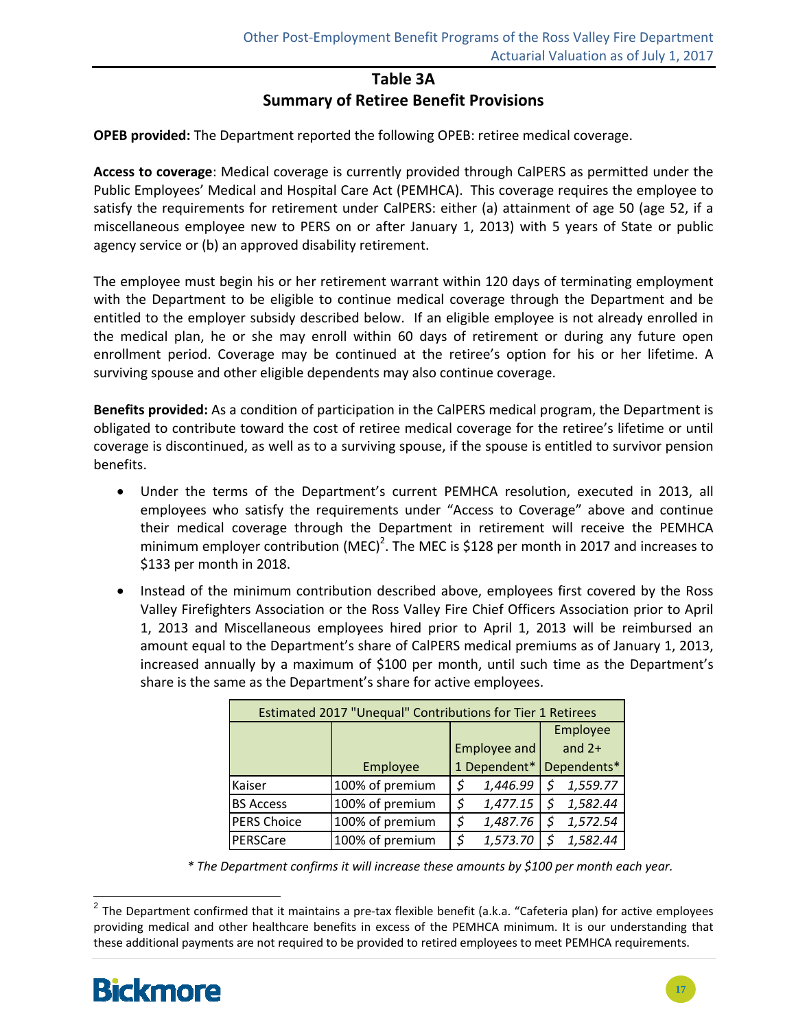#### **Table 3A**

#### **Summary of Retiree Benefit Provisions**

**OPEB provided:** The Department reported the following OPEB: retiree medical coverage.

**Access to coverage**: Medical coverage is currently provided through CalPERS as permitted under the Public Employees' Medical and Hospital Care Act (PEMHCA). This coverage requires the employee to satisfy the requirements for retirement under CalPERS: either (a) attainment of age 50 (age 52, if a miscellaneous employee new to PERS on or after January 1, 2013) with 5 years of State or public agency service or (b) an approved disability retirement.

The employee must begin his or her retirement warrant within 120 days of terminating employment with the Department to be eligible to continue medical coverage through the Department and be entitled to the employer subsidy described below. If an eligible employee is not already enrolled in the medical plan, he or she may enroll within 60 days of retirement or during any future open enrollment period. Coverage may be continued at the retiree's option for his or her lifetime. A surviving spouse and other eligible dependents may also continue coverage.

**Benefits provided:** As a condition of participation in the CalPERS medical program, the Department is obligated to contribute toward the cost of retiree medical coverage for the retiree's lifetime or until coverage is discontinued, as well as to a surviving spouse, if the spouse is entitled to survivor pension benefits.

- Under the terms of the Department's current PEMHCA resolution, executed in 2013, all employees who satisfy the requirements under "Access to Coverage" above and continue their medical coverage through the Department in retirement will receive the PEMHCA minimum employer contribution (MEC)<sup>2</sup>. The MEC is \$128 per month in 2017 and increases to \$133 per month in 2018.
- Instead of the minimum contribution described above, employees first covered by the Ross Valley Firefighters Association or the Ross Valley Fire Chief Officers Association prior to April 1, 2013 and Miscellaneous employees hired prior to April 1, 2013 will be reimbursed an amount equal to the Department's share of CalPERS medical premiums as of January 1, 2013, increased annually by a maximum of \$100 per month, until such time as the Department's share is the same as the Department's share for active employees.

| Estimated 2017 "Unequal" Contributions for Tier 1 Retirees |                 |              |          |             |          |  |  |  |  |
|------------------------------------------------------------|-----------------|--------------|----------|-------------|----------|--|--|--|--|
|                                                            |                 |              |          |             | Employee |  |  |  |  |
|                                                            |                 | Employee and |          |             | and $2+$ |  |  |  |  |
|                                                            | Employee        | 1 Dependent* |          | Dependents* |          |  |  |  |  |
| Kaiser                                                     | 100% of premium | \$           | 1,446.99 | \$          | 1,559.77 |  |  |  |  |
| <b>BS Access</b>                                           | 100% of premium | \$           | 1,477.15 | \$.         | 1,582.44 |  |  |  |  |
| <b>PERS Choice</b>                                         | 100% of premium | \$           | 1,487.76 | \$          | 1,572.54 |  |  |  |  |
| PERSCare                                                   | 100% of premium | Ś            | 1,573.70 | -S          | 1,582.44 |  |  |  |  |

*\* The Department confirms it will increase these amounts by \$100 per month each year.*

<sup>&</sup>lt;sup>2</sup> The Department confirmed that it maintains a pre-tax flexible benefit (a.k.a. "Cafeteria plan) for active employees providing medical and other healthcare benefits in excess of the PEMHCA minimum. It is our understanding that these additional payments are not required to be provided to retired employees to meet PEMHCA requirements.

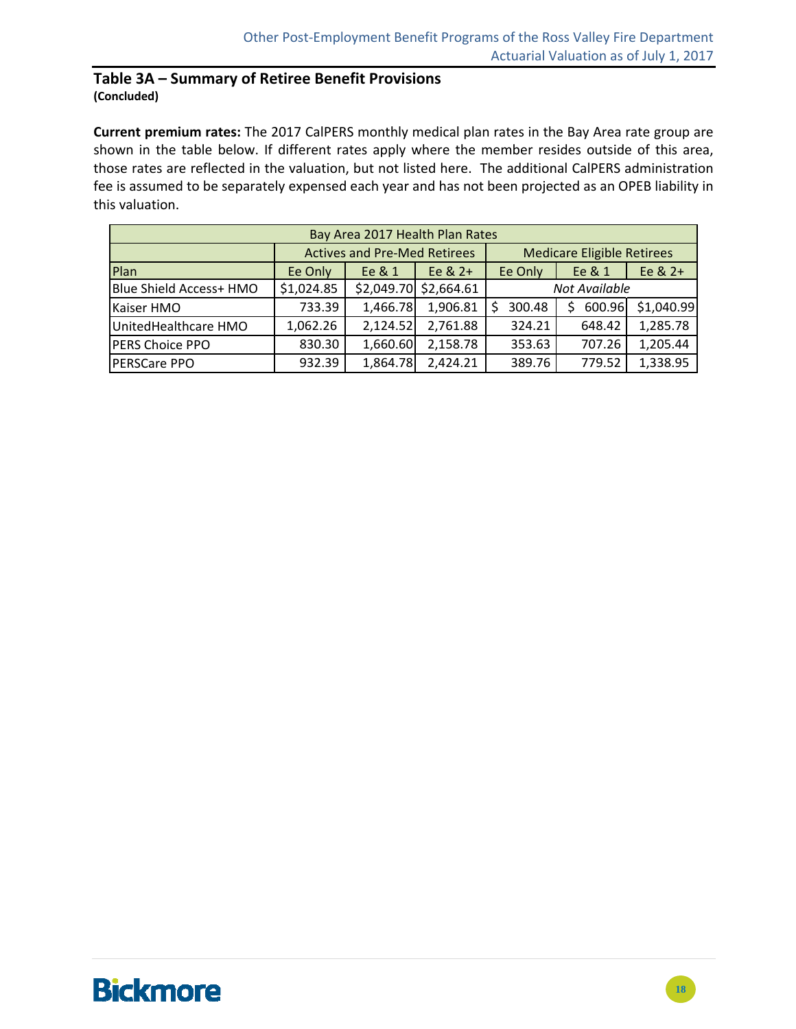#### **Table 3A – Summary of Retiree Benefit Provisions (Concluded)**

**Current premium rates:** The 2017 CalPERS monthly medical plan rates in the Bay Area rate group are shown in the table below. If different rates apply where the member resides outside of this area, those rates are reflected in the valuation, but not listed here. The additional CalPERS administration fee is assumed to be separately expensed each year and has not been projected as an OPEB liability in this valuation.

| Bay Area 2017 Health Plan Rates |                                     |          |                         |                                   |         |            |  |  |  |  |
|---------------------------------|-------------------------------------|----------|-------------------------|-----------------------------------|---------|------------|--|--|--|--|
|                                 | <b>Actives and Pre-Med Retirees</b> |          |                         | <b>Medicare Eligible Retirees</b> |         |            |  |  |  |  |
| Plan                            | Ee Only                             | Ee & 1   | Ee $& 2+$               | Ee Only                           | Ee & 2+ |            |  |  |  |  |
| Blue Shield Access+ HMO         | \$1,024.85                          |          | $$2,049.70$ $$2,664.61$ | Not Available                     |         |            |  |  |  |  |
| Kaiser HMO                      | 733.39                              | 1,466.78 | 1,906.81                | 300.48                            | 600.96  | \$1,040.99 |  |  |  |  |
| UnitedHealthcare HMO            | 1,062.26                            | 2,124.52 | 2,761.88                | 324.21                            | 648.42  | 1,285.78   |  |  |  |  |
| PERS Choice PPO                 | 830.30                              | 1,660.60 | 2,158.78                | 353.63                            | 707.26  | 1,205.44   |  |  |  |  |
| PERSCare PPO                    | 932.39                              | 1,864.78 | 2,424.21                | 389.76                            | 779.52  | 1,338.95   |  |  |  |  |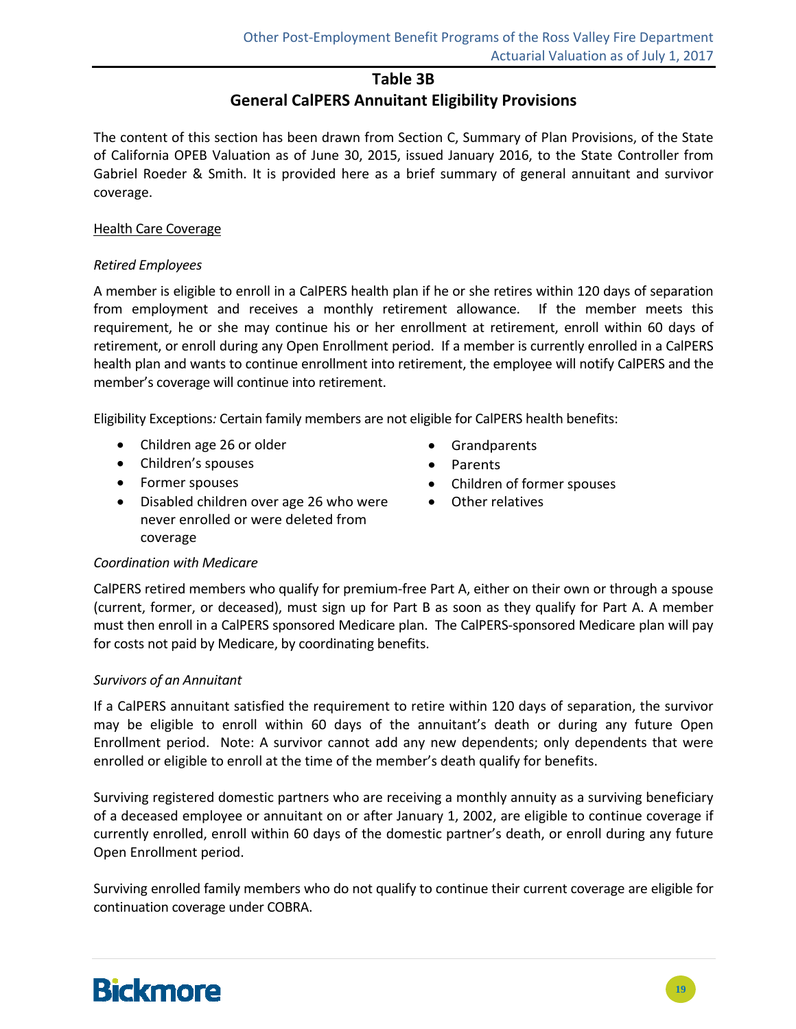#### **Table 3B**

### **General CalPERS Annuitant Eligibility Provisions**

The content of this section has been drawn from Section C, Summary of Plan Provisions, of the State of California OPEB Valuation as of June 30, 2015, issued January 2016, to the State Controller from Gabriel Roeder & Smith. It is provided here as a brief summary of general annuitant and survivor coverage.

#### Health Care Coverage

#### *Retired Employees*

A member is eligible to enroll in a CalPERS health plan if he or she retires within 120 days of separation from employment and receives a monthly retirement allowance. If the member meets this requirement, he or she may continue his or her enrollment at retirement, enroll within 60 days of retirement, or enroll during any Open Enrollment period. If a member is currently enrolled in a CalPERS health plan and wants to continue enrollment into retirement, the employee will notify CalPERS and the member's coverage will continue into retirement.

Eligibility Exceptions*:* Certain family members are not eligible for CalPERS health benefits:

- Children age 26 or older
- Children's spouses
- Former spouses
- Disabled children over age 26 who were never enrolled or were deleted from coverage
- Grandparents
- Parents
- Children of former spouses
- Other relatives

#### *Coordination with Medicare*

CalPERS retired members who qualify for premium‐free Part A, either on their own or through a spouse (current, former, or deceased), must sign up for Part B as soon as they qualify for Part A. A member must then enroll in a CalPERS sponsored Medicare plan. The CalPERS‐sponsored Medicare plan will pay for costs not paid by Medicare, by coordinating benefits.

#### *Survivors of an Annuitant*

If a CalPERS annuitant satisfied the requirement to retire within 120 days of separation, the survivor may be eligible to enroll within 60 days of the annuitant's death or during any future Open Enrollment period. Note: A survivor cannot add any new dependents; only dependents that were enrolled or eligible to enroll at the time of the member's death qualify for benefits.

Surviving registered domestic partners who are receiving a monthly annuity as a surviving beneficiary of a deceased employee or annuitant on or after January 1, 2002, are eligible to continue coverage if currently enrolled, enroll within 60 days of the domestic partner's death, or enroll during any future Open Enrollment period.

Surviving enrolled family members who do not qualify to continue their current coverage are eligible for continuation coverage under COBRA.

# **Bickmore**

**19**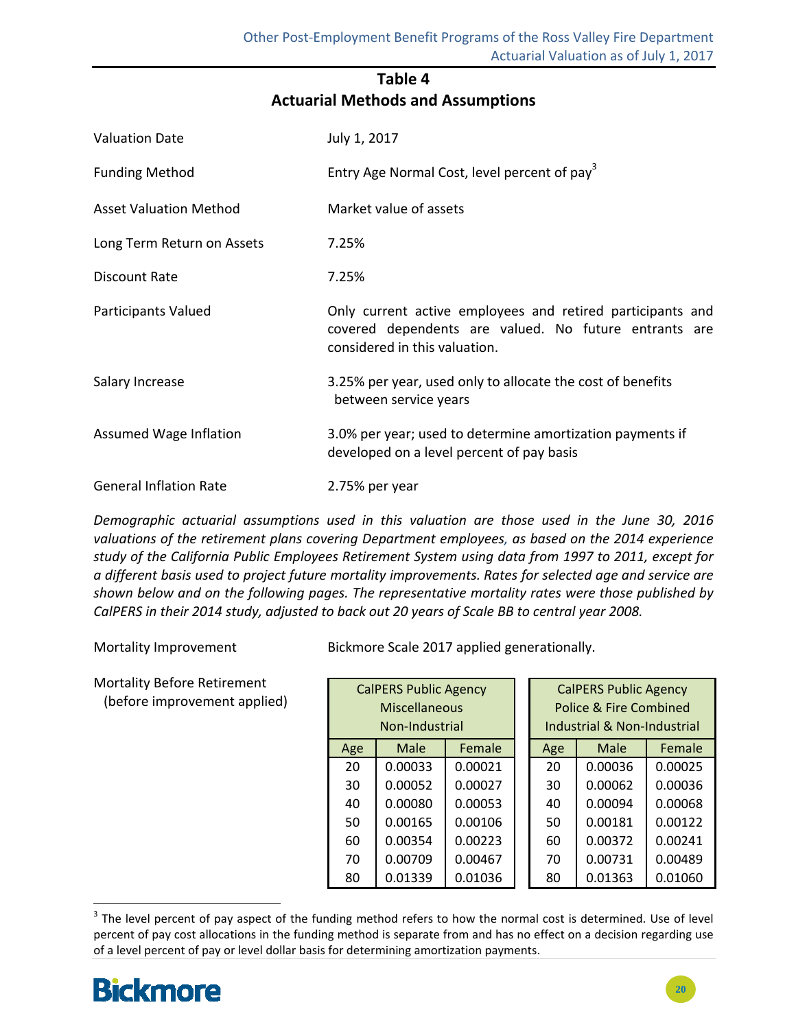### **Table 4 Actuarial Methods and Assumptions**

| <b>Valuation Date</b>         | July 1, 2017                                                                                                                                         |
|-------------------------------|------------------------------------------------------------------------------------------------------------------------------------------------------|
| <b>Funding Method</b>         | Entry Age Normal Cost, level percent of pay <sup>3</sup>                                                                                             |
| <b>Asset Valuation Method</b> | Market value of assets                                                                                                                               |
| Long Term Return on Assets    | 7.25%                                                                                                                                                |
| Discount Rate                 | 7.25%                                                                                                                                                |
| Participants Valued           | Only current active employees and retired participants and<br>covered dependents are valued. No future entrants are<br>considered in this valuation. |
| Salary Increase               | 3.25% per year, used only to allocate the cost of benefits<br>between service years                                                                  |
| <b>Assumed Wage Inflation</b> | 3.0% per year; used to determine amortization payments if<br>developed on a level percent of pay basis                                               |
| <b>General Inflation Rate</b> | 2.75% per year                                                                                                                                       |

*Demographic actuarial assumptions used in this valuation are those used in the June 30, 2016 valuations of the retirement plans covering Department employees, as based on the 2014 experience study of the California Public Employees Retirement System using data from 1997 to 2011, except for a different basis used to project future mortality improvements. Rates for selected age and service are shown below and on the following pages. The representative mortality rates were those published by* CalPERS in their 2014 study, adjusted to back out 20 years of Scale BB to central year 2008.

Mortality Before Retirement (before improvement applied)

Mortality Improvement Bickmore Scale 2017 applied generationally.

| <b>CalPERS Public Agency</b><br>Miscellaneous<br>Non-Industrial |                |         |  |     | <b>CalPERS Public Agency</b><br>Police & Fire Combined<br>Industrial & Non-Industrial |         |
|-----------------------------------------------------------------|----------------|---------|--|-----|---------------------------------------------------------------------------------------|---------|
| Age                                                             | Male<br>Female |         |  | Age | Male                                                                                  | Female  |
| 20                                                              | 0.00033        | 0.00021 |  | 20  | 0.00036                                                                               | 0.00025 |
| 30                                                              | 0.00052        | 0.00027 |  | 30  | 0.00062                                                                               | 0.00036 |
| 40                                                              | 0.00080        | 0.00053 |  | 40  | 0.00094                                                                               | 0.00068 |
| 50                                                              | 0.00165        | 0.00106 |  | 50  | 0.00181                                                                               | 0.00122 |
| 60                                                              | 0.00354        | 0.00223 |  | 60  | 0.00372                                                                               | 0.00241 |
| 70                                                              | 0.00709        | 0.00467 |  | 70  | 0.00731                                                                               | 0.00489 |
| 80                                                              | 0.01339        | 0.01036 |  | 80  | 0.01363                                                                               | 0.01060 |

 <sup>3</sup> The level percent of pay aspect of the funding method refers to how the normal cost is determined. Use of level percent of pay cost allocations in the funding method is separate from and has no effect on a decision regarding use of a level percent of pay or level dollar basis for determining amortization payments.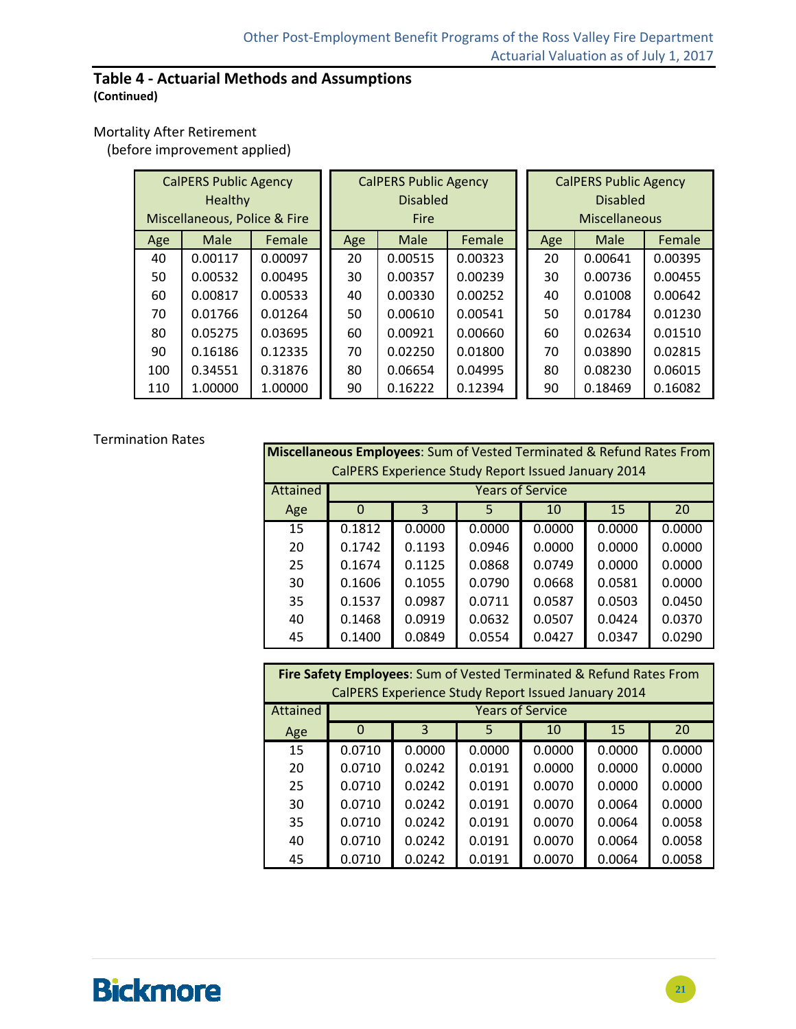#### **Table 4 ‐ Actuarial Methods and Assumptions (Continued)**

#### Mortality After Retirement

(before improvement applied)

|     | <b>CalPERS Public Agency</b> |         |  | <b>CalPERS Public Agency</b> |                 |         |                      |     | <b>CalPERS Public Agency</b> |         |
|-----|------------------------------|---------|--|------------------------------|-----------------|---------|----------------------|-----|------------------------------|---------|
|     | Healthy                      |         |  |                              | <b>Disabled</b> |         |                      |     | <b>Disabled</b>              |         |
|     | Miscellaneous, Police & Fire |         |  |                              | <b>Fire</b>     |         | <b>Miscellaneous</b> |     |                              |         |
| Age | Male                         | Female  |  | Age                          | Male            | Female  |                      | Age | Male                         | Female  |
| 40  | 0.00117                      | 0.00097 |  | 20                           | 0.00515         | 0.00323 |                      | 20  | 0.00641                      | 0.00395 |
| 50  | 0.00532                      | 0.00495 |  | 30                           | 0.00357         | 0.00239 |                      | 30  | 0.00736                      | 0.00455 |
| 60  | 0.00817                      | 0.00533 |  | 40                           | 0.00330         | 0.00252 |                      | 40  | 0.01008                      | 0.00642 |
| 70  | 0.01766                      | 0.01264 |  | 50                           | 0.00610         | 0.00541 |                      | 50  | 0.01784                      | 0.01230 |
| 80  | 0.05275                      | 0.03695 |  | 60                           | 0.00921         | 0.00660 |                      | 60  | 0.02634                      | 0.01510 |
| 90  | 0.16186                      | 0.12335 |  | 70                           | 0.02250         | 0.01800 |                      | 70  | 0.03890                      | 0.02815 |
| 100 | 0.34551                      | 0.31876 |  | 80                           | 0.06654         | 0.04995 |                      | 80  | 0.08230                      | 0.06015 |
| 110 | 1.00000                      | 1.00000 |  | 90                           | 0.16222         | 0.12394 |                      | 90  | 0.18469                      | 0.16082 |

#### Termination Rates

| <b>Miscellaneous Employees:</b> Sum of Vested Terminated & Refund Rates From |                                                     |        |        |        |        |        |  |  |  |
|------------------------------------------------------------------------------|-----------------------------------------------------|--------|--------|--------|--------|--------|--|--|--|
|                                                                              | CalPERS Experience Study Report Issued January 2014 |        |        |        |        |        |  |  |  |
| Attained                                                                     | <b>Years of Service</b>                             |        |        |        |        |        |  |  |  |
| Age                                                                          | 0                                                   | 3      | 5.     | 10     | 15     | 20     |  |  |  |
| 15                                                                           | 0.1812                                              | 0.0000 | 0.0000 | 0.0000 | 0.0000 | 0.0000 |  |  |  |
| 20                                                                           | 0.1742                                              | 0.1193 | 0.0946 | 0.0000 | 0.0000 | 0.0000 |  |  |  |
| 25                                                                           | 0.1674                                              | 0.1125 | 0.0868 | 0.0749 | 0.0000 | 0.0000 |  |  |  |
| 30                                                                           | 0.1606                                              | 0.1055 | 0.0790 | 0.0668 | 0.0581 | 0.0000 |  |  |  |
| 35                                                                           | 0.1537                                              | 0.0987 | 0.0711 | 0.0587 | 0.0503 | 0.0450 |  |  |  |
| 40                                                                           | 0.1468                                              | 0.0919 | 0.0632 | 0.0507 | 0.0424 | 0.0370 |  |  |  |
| 45                                                                           | 0.1400                                              | 0.0849 | 0.0554 | 0.0427 | 0.0347 | 0.0290 |  |  |  |

| Fire Safety Employees: Sum of Vested Terminated & Refund Rates From |          |                                     |        |        |        |        |  |  |  |  |  |  |
|---------------------------------------------------------------------|----------|-------------------------------------|--------|--------|--------|--------|--|--|--|--|--|--|
| CalPERS Experience Study Report Issued January 2014                 |          |                                     |        |        |        |        |  |  |  |  |  |  |
| Attained                                                            |          | <b>Years of Service</b>             |        |        |        |        |  |  |  |  |  |  |
| Age                                                                 | $\Omega$ | $\mathbf{3}$<br>15<br>20<br>5<br>10 |        |        |        |        |  |  |  |  |  |  |
| 15                                                                  | 0.0710   | 0.0000                              | 0.0000 | 0.0000 | 0.0000 | 0.0000 |  |  |  |  |  |  |
| 20                                                                  | 0.0710   | 0.0242                              | 0.0191 | 0.0000 | 0.0000 | 0.0000 |  |  |  |  |  |  |
| 25                                                                  | 0.0710   | 0.0242                              | 0.0191 | 0.0070 | 0.0000 | 0.0000 |  |  |  |  |  |  |
| 30                                                                  | 0.0710   | 0.0242                              | 0.0191 | 0.0070 | 0.0064 | 0.0000 |  |  |  |  |  |  |
| 35                                                                  | 0.0710   | 0.0242                              | 0.0191 | 0.0070 | 0.0064 | 0.0058 |  |  |  |  |  |  |
| 40                                                                  | 0.0710   | 0.0242                              | 0.0191 | 0.0070 | 0.0064 | 0.0058 |  |  |  |  |  |  |
| 45                                                                  | 0.0710   | 0.0242                              | 0.0191 | 0.0070 | 0.0064 | 0.0058 |  |  |  |  |  |  |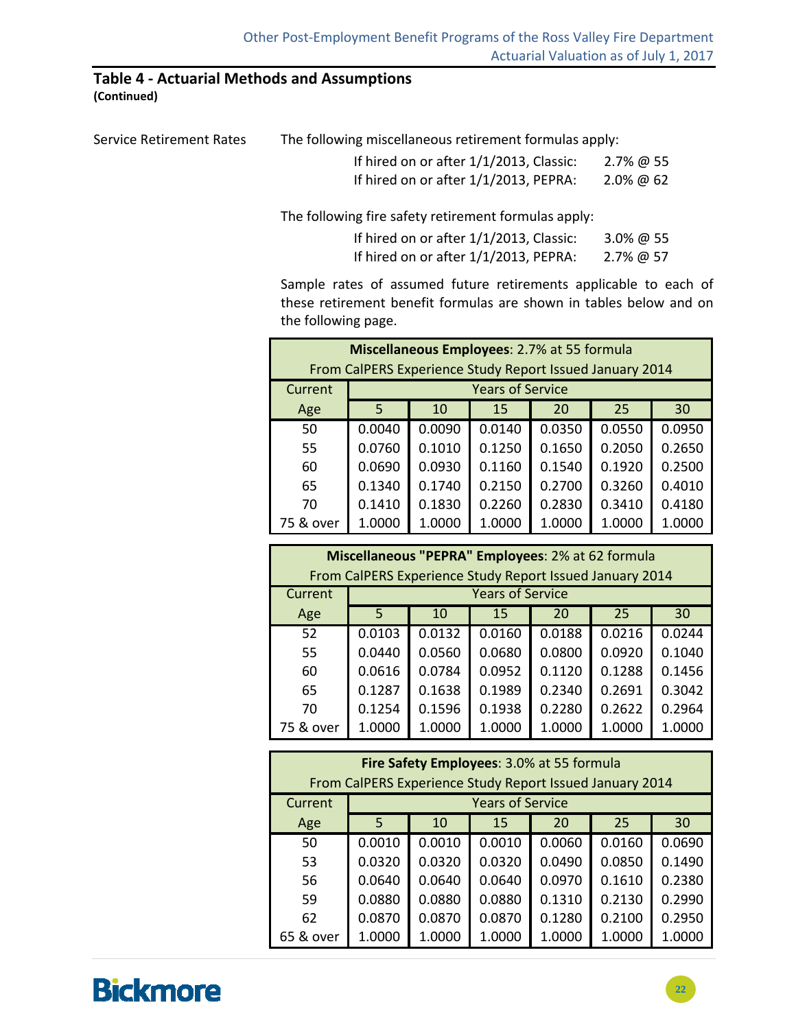### **Table 4 ‐ Actuarial Methods and Assumptions**

**(Continued)**

| The following miscellaneous retirement formulas apply: |                                       |  |  |  |  |
|--------------------------------------------------------|---------------------------------------|--|--|--|--|
| If hired on or after 1/1/2013, Classic:                | 2.7% @ 55<br>2.0% @ 62                |  |  |  |  |
|                                                        | If hired on or after 1/1/2013, PEPRA: |  |  |  |  |

The following fire safety retirement formulas apply:

| If hired on or after 1/1/2013, Classic: | 3.0% @ 55 |
|-----------------------------------------|-----------|
| If hired on or after 1/1/2013, PEPRA:   | 2.7% @ 57 |

Sample rates of assumed future retirements applicable to each of these retirement benefit formulas are shown in tables below and on the following page.

| Miscellaneous Employees: 2.7% at 55 formula<br>From CalPERS Experience Study Report Issued January 2014 |        |        |                         |        |        |        |  |
|---------------------------------------------------------------------------------------------------------|--------|--------|-------------------------|--------|--------|--------|--|
| Current                                                                                                 |        |        | <b>Years of Service</b> |        |        |        |  |
| Age                                                                                                     | 5      | 10     | 15                      | 20     | 25     | 30     |  |
| 50                                                                                                      | 0.0040 | 0.0090 | 0.0140                  | 0.0350 | 0.0550 | 0.0950 |  |
| 55                                                                                                      | 0.0760 | 0.1010 | 0.1250                  | 0.1650 | 0.2050 | 0.2650 |  |
| 60                                                                                                      | 0.0690 | 0.0930 | 0.1160                  | 0.1540 | 0.1920 | 0.2500 |  |
| 65                                                                                                      | 0.1340 | 0.1740 | 0.2150                  | 0.2700 | 0.3260 | 0.4010 |  |
| 70                                                                                                      | 0.1410 | 0.1830 | 0.2260                  | 0.2830 | 0.3410 | 0.4180 |  |
| 75 & over                                                                                               | 1.0000 | 1.0000 | 1.0000                  | 1.0000 | 1.0000 | 1.0000 |  |

| Miscellaneous "PEPRA" Employees: 2% at 62 formula        |        |        |                         |        |        |        |  |  |  |  |
|----------------------------------------------------------|--------|--------|-------------------------|--------|--------|--------|--|--|--|--|
| From CalPERS Experience Study Report Issued January 2014 |        |        |                         |        |        |        |  |  |  |  |
| Current                                                  |        |        | <b>Years of Service</b> |        |        |        |  |  |  |  |
| Age                                                      | 5      | 10     | 15                      | 20     | 25     | 30     |  |  |  |  |
| 52                                                       | 0.0103 | 0.0132 | 0.0160                  | 0.0188 | 0.0216 | 0.0244 |  |  |  |  |
| 55                                                       | 0.0440 | 0.0560 | 0.0680                  | 0.0800 | 0.0920 | 0.1040 |  |  |  |  |
| 60                                                       | 0.0616 | 0.0784 | 0.0952                  | 0.1120 | 0.1288 | 0.1456 |  |  |  |  |
| 65                                                       | 0.1287 | 0.1638 | 0.1989                  | 0.2340 | 0.2691 | 0.3042 |  |  |  |  |
| 70                                                       | 0.1254 | 0.1596 | 0.1938                  | 0.2280 | 0.2622 | 0.2964 |  |  |  |  |
| 75 & over                                                | 1.0000 | 1.0000 | 1.0000                  | 1.0000 | 1.0000 | 1.0000 |  |  |  |  |

| Fire Safety Employees: 3.0% at 55 formula |                                                                                     |        |        |        |        |        |  |  |  |  |
|-------------------------------------------|-------------------------------------------------------------------------------------|--------|--------|--------|--------|--------|--|--|--|--|
| Current                                   | From CalPERS Experience Study Report Issued January 2014<br><b>Years of Service</b> |        |        |        |        |        |  |  |  |  |
| Age                                       | 5                                                                                   | 10     | 15     | 20     | 25     | 30     |  |  |  |  |
| 50                                        | 0.0010                                                                              | 0.0010 | 0.0010 | 0.0060 | 0.0160 | 0.0690 |  |  |  |  |
| 53                                        | 0.0320                                                                              | 0.0320 | 0.0320 | 0.0490 | 0.0850 | 0.1490 |  |  |  |  |
| 56                                        | 0.0640                                                                              | 0.0640 | 0.0640 | 0.0970 | 0.1610 | 0.2380 |  |  |  |  |
| 59                                        | 0.0880                                                                              | 0.0880 | 0.0880 | 0.1310 | 0.2130 | 0.2990 |  |  |  |  |
| 62                                        | 0.0870                                                                              | 0.0870 | 0.0870 | 0.1280 | 0.2100 | 0.2950 |  |  |  |  |
| 65 & over                                 | 1.0000                                                                              | 1.0000 | 1.0000 | 1.0000 | 1.0000 | 1.0000 |  |  |  |  |

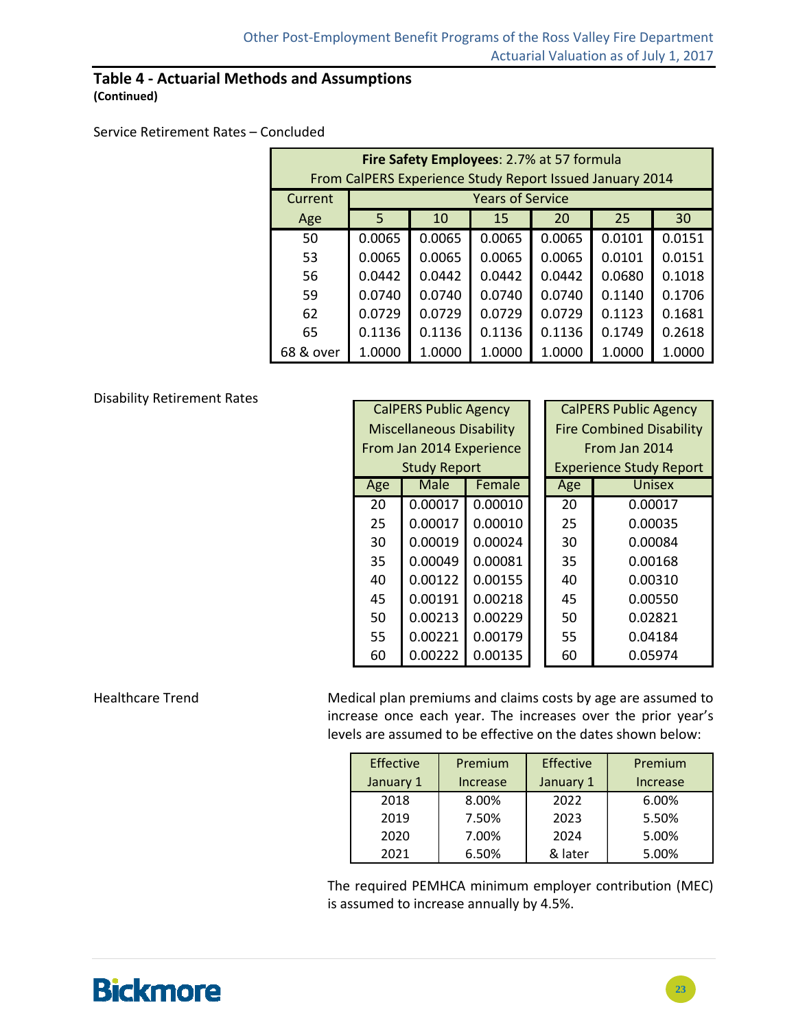#### **Table 4 ‐ Actuarial Methods and Assumptions (Continued)**

#### Service Retirement Rates – Concluded

| Fire Safety Employees: 2.7% at 57 formula<br>From CalPERS Experience Study Report Issued January 2014 |        |        |                         |        |        |        |  |  |  |  |
|-------------------------------------------------------------------------------------------------------|--------|--------|-------------------------|--------|--------|--------|--|--|--|--|
| Current                                                                                               |        |        | <b>Years of Service</b> |        |        |        |  |  |  |  |
| Age                                                                                                   | 5      | 10     | 15                      | 20     | 25     | 30     |  |  |  |  |
| 50                                                                                                    | 0.0065 | 0.0065 | 0.0065                  | 0.0065 | 0.0101 | 0.0151 |  |  |  |  |
| 53                                                                                                    | 0.0065 | 0.0065 | 0.0065                  | 0.0065 | 0.0101 | 0.0151 |  |  |  |  |
| 56                                                                                                    | 0.0442 | 0.0442 | 0.0442                  | 0.0442 | 0.0680 | 0.1018 |  |  |  |  |
| 59                                                                                                    | 0.0740 | 0.0740 | 0.0740                  | 0.0740 | 0.1140 | 0.1706 |  |  |  |  |
| 62                                                                                                    | 0.0729 | 0.0729 | 0.0729                  | 0.0729 | 0.1123 | 0.1681 |  |  |  |  |
| 65                                                                                                    | 0.1136 | 0.1136 | 0.1136                  | 0.1136 | 0.1749 | 0.2618 |  |  |  |  |
| 68 & over                                                                                             | 1.0000 | 1.0000 | 1.0000                  | 1.0000 | 1.0000 | 1.0000 |  |  |  |  |

#### Disability Retirement Rates

| <b>CalPERS Public Agency</b> |                                 |         |  |                                 | <b>CalPERS Public Agency</b>   |  |
|------------------------------|---------------------------------|---------|--|---------------------------------|--------------------------------|--|
|                              | <b>Miscellaneous Disability</b> |         |  | <b>Fire Combined Disability</b> |                                |  |
|                              | From Jan 2014 Experience        |         |  |                                 | From Jan 2014                  |  |
|                              | <b>Study Report</b>             |         |  |                                 | <b>Experience Study Report</b> |  |
| Age                          | Male                            | Female  |  | Age                             | Unisex                         |  |
| 20                           | 0.00017                         | 0.00010 |  | 20                              | 0.00017                        |  |
| 25                           | 0.00017                         | 0.00010 |  | 25                              | 0.00035                        |  |
| 30                           | 0.00019                         | 0.00024 |  | 30                              | 0.00084                        |  |
| 35                           | 0.00049                         | 0.00081 |  | 35                              | 0.00168                        |  |
| 40                           | 0.00122                         | 0.00155 |  | 40                              | 0.00310                        |  |
| 45                           | 0.00191                         | 0.00218 |  | 45                              | 0.00550                        |  |
| 50                           | 0.00213                         | 0.00229 |  | 50                              | 0.02821                        |  |
| 55                           | 0.00221                         | 0.00179 |  | 55                              | 0.04184                        |  |
| 60                           | 0.00222                         | 0.00135 |  | 60                              | 0.05974                        |  |

Healthcare Trend Medical plan premiums and claims costs by age are assumed to increase once each year. The increases over the prior year's levels are assumed to be effective on the dates shown below:

| <b>Effective</b> | Premium  | Effective | Premium  |
|------------------|----------|-----------|----------|
| January 1        | Increase | January 1 | Increase |
| 2018             | 8.00%    | 2022      | 6.00%    |
| 2019             | 7.50%    | 2023      | 5.50%    |
| 2020             | 7.00%    | 2024      | 5.00%    |
| 2021             | 6.50%    | & later   | 5.00%    |

The required PEMHCA minimum employer contribution (MEC) is assumed to increase annually by 4.5%.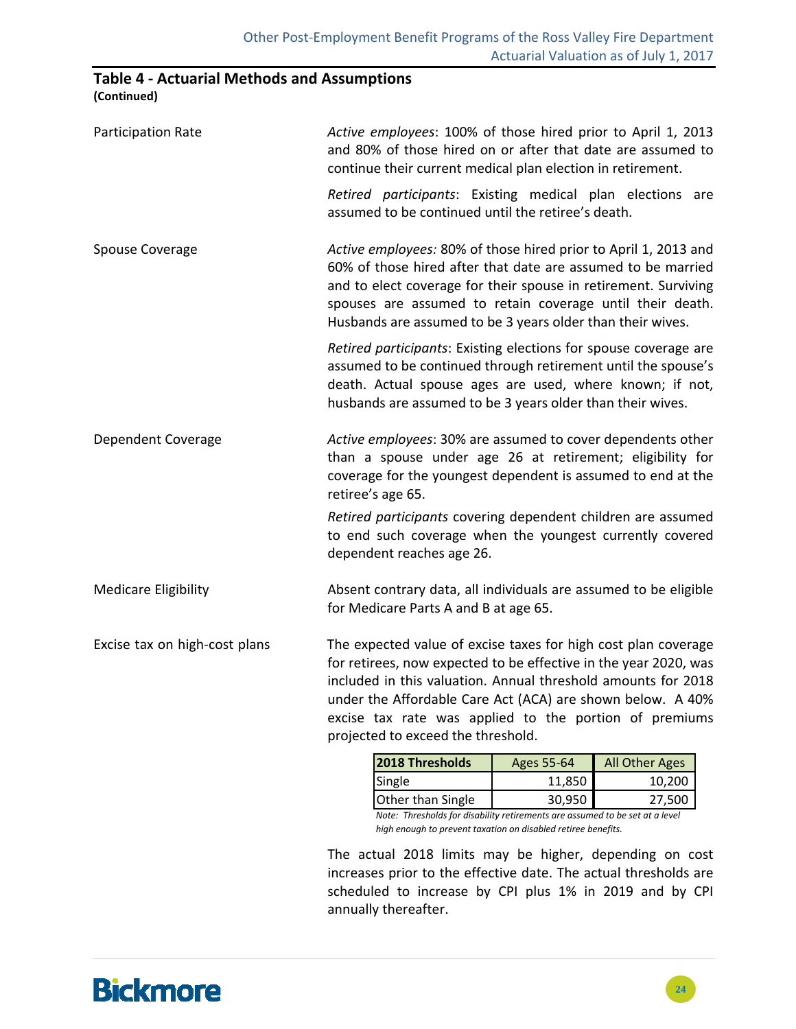### **Table 4 ‐ Actuarial Methods and Assumptions**

**(Continued)**

| Participation Rate            | Active employees: 100% of those hired prior to April 1, 2013<br>and 80% of those hired on or after that date are assumed to<br>continue their current medical plan election in retirement.                                                                                                                                                                        |            |                |  |  |  |
|-------------------------------|-------------------------------------------------------------------------------------------------------------------------------------------------------------------------------------------------------------------------------------------------------------------------------------------------------------------------------------------------------------------|------------|----------------|--|--|--|
|                               | Retired participants: Existing medical plan elections are<br>assumed to be continued until the retiree's death.                                                                                                                                                                                                                                                   |            |                |  |  |  |
| <b>Spouse Coverage</b>        | Active employees: 80% of those hired prior to April 1, 2013 and<br>60% of those hired after that date are assumed to be married<br>and to elect coverage for their spouse in retirement. Surviving<br>spouses are assumed to retain coverage until their death.<br>Husbands are assumed to be 3 years older than their wives.                                     |            |                |  |  |  |
|                               | Retired participants: Existing elections for spouse coverage are<br>assumed to be continued through retirement until the spouse's<br>death. Actual spouse ages are used, where known; if not,<br>husbands are assumed to be 3 years older than their wives.                                                                                                       |            |                |  |  |  |
| Dependent Coverage            | Active employees: 30% are assumed to cover dependents other<br>than a spouse under age 26 at retirement; eligibility for<br>coverage for the youngest dependent is assumed to end at the<br>retiree's age 65.                                                                                                                                                     |            |                |  |  |  |
|                               | Retired participants covering dependent children are assumed<br>to end such coverage when the youngest currently covered<br>dependent reaches age 26.                                                                                                                                                                                                             |            |                |  |  |  |
| <b>Medicare Eligibility</b>   | Absent contrary data, all individuals are assumed to be eligible<br>for Medicare Parts A and B at age 65.                                                                                                                                                                                                                                                         |            |                |  |  |  |
| Excise tax on high-cost plans | The expected value of excise taxes for high cost plan coverage<br>for retirees, now expected to be effective in the year 2020, was<br>included in this valuation. Annual threshold amounts for 2018<br>under the Affordable Care Act (ACA) are shown below. A 40%<br>excise tax rate was applied to the portion of premiums<br>projected to exceed the threshold. |            |                |  |  |  |
|                               | 2018 Thresholds                                                                                                                                                                                                                                                                                                                                                   | Ages 55-64 | All Other Ages |  |  |  |
|                               | Single                                                                                                                                                                                                                                                                                                                                                            | 11,850     | 10,200         |  |  |  |
|                               | Other than Single                                                                                                                                                                                                                                                                                                                                                 | 30,950     | 27,500         |  |  |  |

*Note: Thresholds for disability retirements are assumed to be set at a level high enough to prevent taxation on disabled retiree benefits.*

The actual 2018 limits may be higher, depending on cost increases prior to the effective date. The actual thresholds are scheduled to increase by CPI plus 1% in 2019 and by CPI annually thereafter.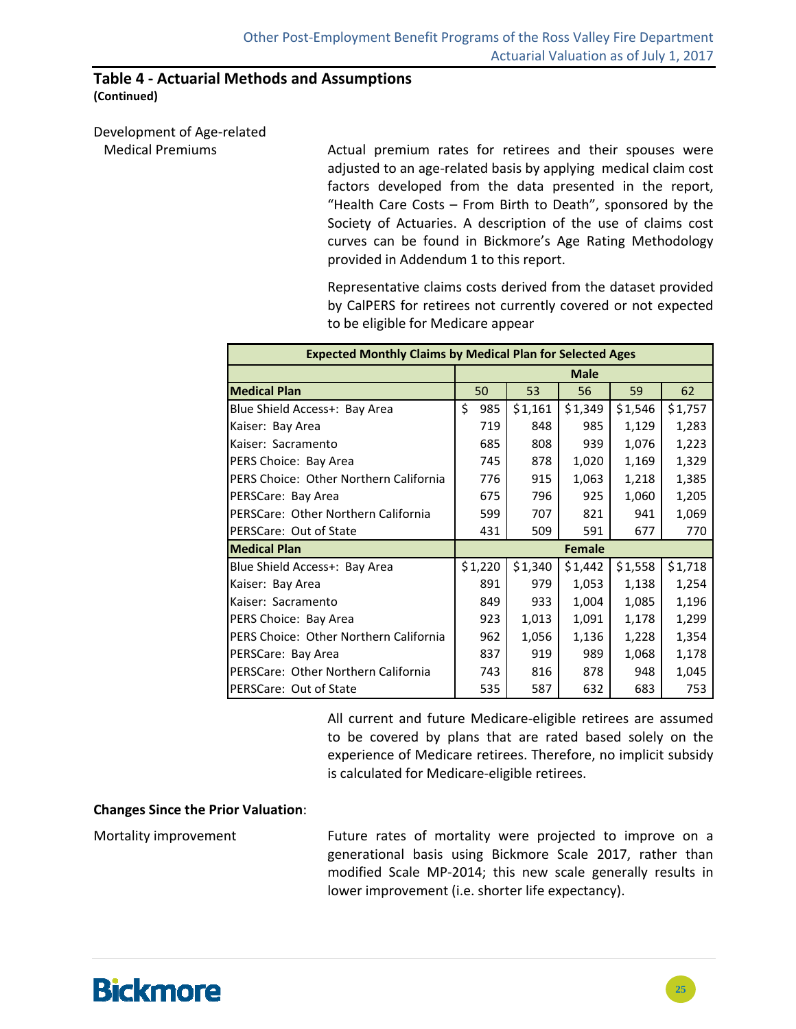#### **Table 4 ‐ Actuarial Methods and Assumptions (Continued)**

Development of Age‐related

 Medical Premiums Actual premium rates for retirees and their spouses were adjusted to an age‐related basis by applying medical claim cost factors developed from the data presented in the report, "Health Care Costs – From Birth to Death", sponsored by the Society of Actuaries. A description of the use of claims cost curves can be found in Bickmore's Age Rating Methodology provided in Addendum 1 to this report.

> Representative claims costs derived from the dataset provided by CalPERS for retirees not currently covered or not expected to be eligible for Medicare appear

| <b>Expected Monthly Claims by Medical Plan for Selected Ages</b> |             |         |         |               |         |         |  |  |  |  |
|------------------------------------------------------------------|-------------|---------|---------|---------------|---------|---------|--|--|--|--|
|                                                                  | <b>Male</b> |         |         |               |         |         |  |  |  |  |
| <b>Medical Plan</b>                                              |             | 50      | 53      | 56            | 59      | 62      |  |  |  |  |
| Blue Shield Access+: Bay Area                                    | \$          | 985     | \$1,161 | \$1,349       | \$1,546 | \$1,757 |  |  |  |  |
| Kaiser: Bay Area                                                 |             | 719     | 848     | 985           | 1,129   | 1,283   |  |  |  |  |
| Kaiser: Sacramento                                               |             | 685     | 808     | 939           | 1,076   | 1,223   |  |  |  |  |
| PERS Choice: Bay Area                                            |             | 745     | 878     | 1,020         | 1,169   | 1,329   |  |  |  |  |
| PERS Choice: Other Northern California                           |             | 776     | 915     | 1,063         | 1,218   | 1,385   |  |  |  |  |
| PERSCare: Bay Area                                               |             | 675     | 796     | 925           | 1,060   | 1,205   |  |  |  |  |
| PERSCare: Other Northern California                              |             | 599     | 707     | 821           | 941     | 1,069   |  |  |  |  |
| <b>PERSCare: Out of State</b>                                    |             | 431     | 509     | 591           | 677     | 770     |  |  |  |  |
| <b>Medical Plan</b>                                              |             |         |         | <b>Female</b> |         |         |  |  |  |  |
| Blue Shield Access+: Bay Area                                    |             | \$1,220 | \$1,340 | \$1,442       | \$1,558 | \$1,718 |  |  |  |  |
| Kaiser: Bay Area                                                 |             | 891     | 979     | 1,053         | 1,138   | 1,254   |  |  |  |  |
| Kaiser: Sacramento                                               |             | 849     | 933     | 1,004         | 1,085   | 1,196   |  |  |  |  |
| PERS Choice: Bay Area                                            |             | 923     | 1,013   | 1,091         | 1,178   | 1,299   |  |  |  |  |
| PERS Choice: Other Northern California                           |             | 962     | 1,056   | 1,136         | 1,228   | 1,354   |  |  |  |  |
| PERSCare: Bay Area                                               |             | 837     | 919     | 989           | 1,068   | 1,178   |  |  |  |  |
| PERSCare: Other Northern California                              |             | 743     | 816     | 878           | 948     | 1,045   |  |  |  |  |
| PERSCare: Out of State                                           |             | 535     | 587     | 632           | 683     | 753     |  |  |  |  |

All current and future Medicare‐eligible retirees are assumed to be covered by plans that are rated based solely on the experience of Medicare retirees. Therefore, no implicit subsidy is calculated for Medicare‐eligible retirees.

#### **Changes Since the Prior Valuation**:

Mortality improvement **Future rates of mortality were projected to improve on a** generational basis using Bickmore Scale 2017, rather than modified Scale MP‐2014; this new scale generally results in lower improvement (i.e. shorter life expectancy).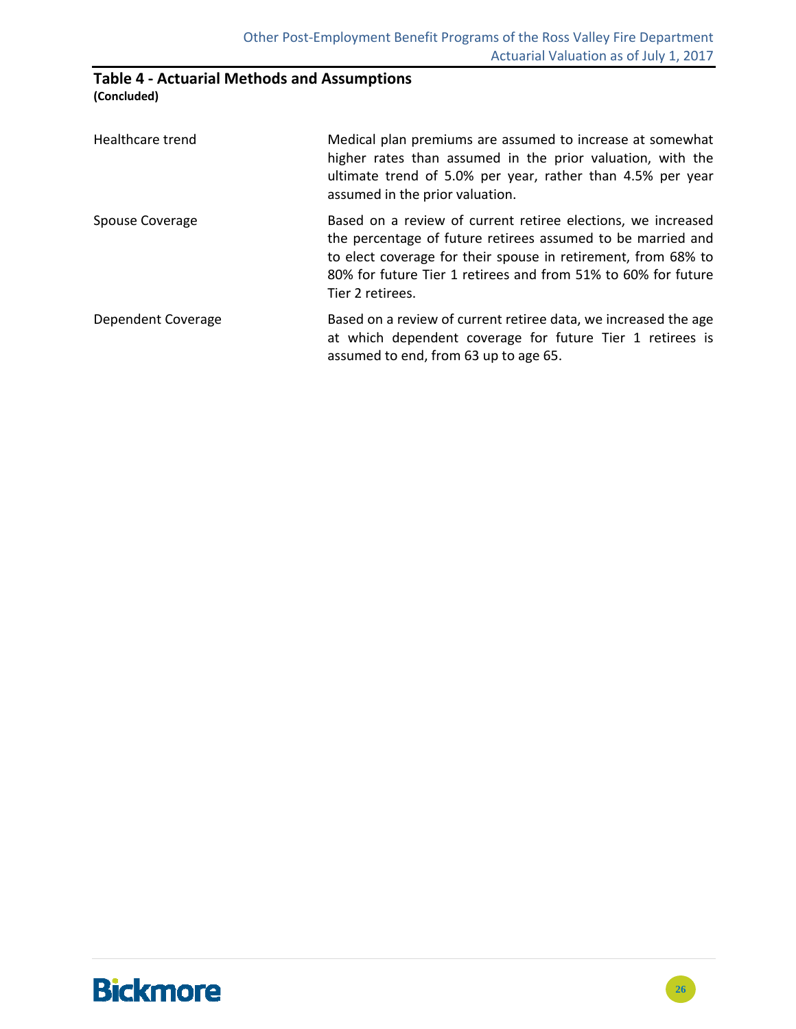#### **Table 4 ‐ Actuarial Methods and Assumptions (Concluded)**

| Healthcare trend   | Medical plan premiums are assumed to increase at somewhat<br>higher rates than assumed in the prior valuation, with the<br>ultimate trend of 5.0% per year, rather than 4.5% per year<br>assumed in the prior valuation.                                                          |
|--------------------|-----------------------------------------------------------------------------------------------------------------------------------------------------------------------------------------------------------------------------------------------------------------------------------|
| Spouse Coverage    | Based on a review of current retiree elections, we increased<br>the percentage of future retirees assumed to be married and<br>to elect coverage for their spouse in retirement, from 68% to<br>80% for future Tier 1 retirees and from 51% to 60% for future<br>Tier 2 retirees. |
| Dependent Coverage | Based on a review of current retiree data, we increased the age<br>at which dependent coverage for future Tier 1 retirees is<br>assumed to end, from 63 up to age 65.                                                                                                             |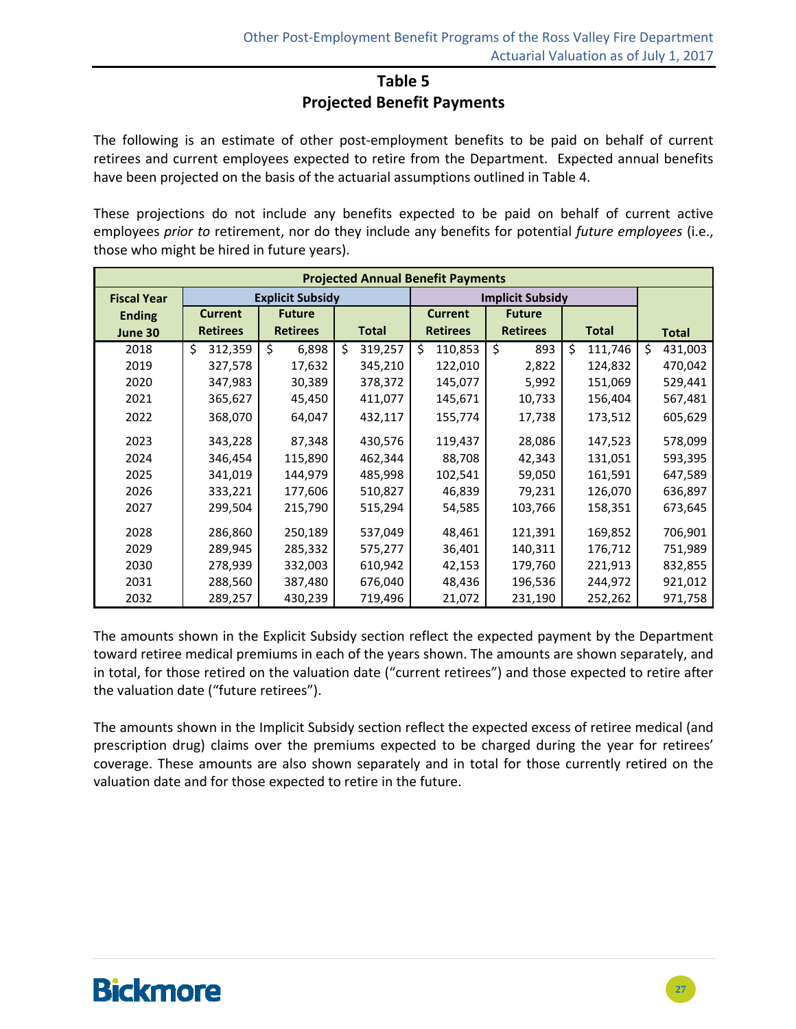### **Table 5**

#### **Projected Benefit Payments**

The following is an estimate of other post-employment benefits to be paid on behalf of current retirees and current employees expected to retire from the Department. Expected annual benefits have been projected on the basis of the actuarial assumptions outlined in Table 4.

These projections do not include any benefits expected to be paid on behalf of current active employees *prior to* retirement, nor do they include any benefits for potential *future employees* (i.e., those who might be hired in future years).

| <b>Projected Annual Benefit Payments</b> |                 |                         |               |                 |                         |               |               |  |
|------------------------------------------|-----------------|-------------------------|---------------|-----------------|-------------------------|---------------|---------------|--|
| <b>Fiscal Year</b>                       |                 | <b>Explicit Subsidy</b> |               |                 | <b>Implicit Subsidy</b> |               |               |  |
| <b>Ending</b>                            | <b>Current</b>  | <b>Future</b>           |               | <b>Current</b>  | <b>Future</b>           |               |               |  |
| June 30                                  | <b>Retirees</b> | <b>Retirees</b>         | <b>Total</b>  | <b>Retirees</b> | <b>Retirees</b>         | <b>Total</b>  | <b>Total</b>  |  |
| 2018                                     | Ś.<br>312,359   | \$<br>6,898             | \$<br>319,257 | Ś<br>110,853    | \$<br>893               | \$<br>111,746 | \$<br>431,003 |  |
| 2019                                     | 327,578         | 17,632                  | 345,210       | 122,010         | 2,822                   | 124,832       | 470,042       |  |
| 2020                                     | 347,983         | 30,389                  | 378,372       | 145,077         | 5,992                   | 151,069       | 529,441       |  |
| 2021                                     | 365,627         | 45,450                  | 411,077       | 145,671         | 10,733                  | 156,404       | 567,481       |  |
| 2022                                     | 368,070         | 64,047                  | 432,117       | 155,774         | 17,738                  | 173,512       | 605,629       |  |
| 2023                                     | 343,228         | 87,348                  | 430,576       | 119,437         | 28,086                  | 147,523       | 578,099       |  |
| 2024                                     | 346,454         | 115,890                 | 462,344       | 88,708          | 42,343                  | 131,051       | 593,395       |  |
| 2025                                     | 341,019         | 144,979                 | 485,998       | 102,541         | 59,050                  | 161,591       | 647,589       |  |
| 2026                                     | 333,221         | 177,606                 | 510,827       | 46,839          | 79,231                  | 126,070       | 636,897       |  |
| 2027                                     | 299,504         | 215,790                 | 515,294       | 54,585          | 103,766                 | 158,351       | 673,645       |  |
| 2028                                     | 286,860         | 250,189                 | 537,049       | 48,461          | 121,391                 | 169,852       | 706,901       |  |
| 2029                                     | 289,945         | 285,332                 | 575,277       | 36,401          | 140,311                 | 176,712       | 751,989       |  |
| 2030                                     | 278,939         | 332,003                 | 610,942       | 42,153          | 179,760                 | 221,913       | 832,855       |  |
| 2031                                     | 288,560         | 387,480                 | 676,040       | 48,436          | 196,536                 | 244,972       | 921,012       |  |
| 2032                                     | 289,257         | 430,239                 | 719,496       | 21,072          | 231,190                 | 252,262       | 971,758       |  |

The amounts shown in the Explicit Subsidy section reflect the expected payment by the Department toward retiree medical premiums in each of the years shown. The amounts are shown separately, and in total, for those retired on the valuation date ("current retirees") and those expected to retire after the valuation date ("future retirees").

The amounts shown in the Implicit Subsidy section reflect the expected excess of retiree medical (and prescription drug) claims over the premiums expected to be charged during the year for retirees' coverage. These amounts are also shown separately and in total for those currently retired on the valuation date and for those expected to retire in the future.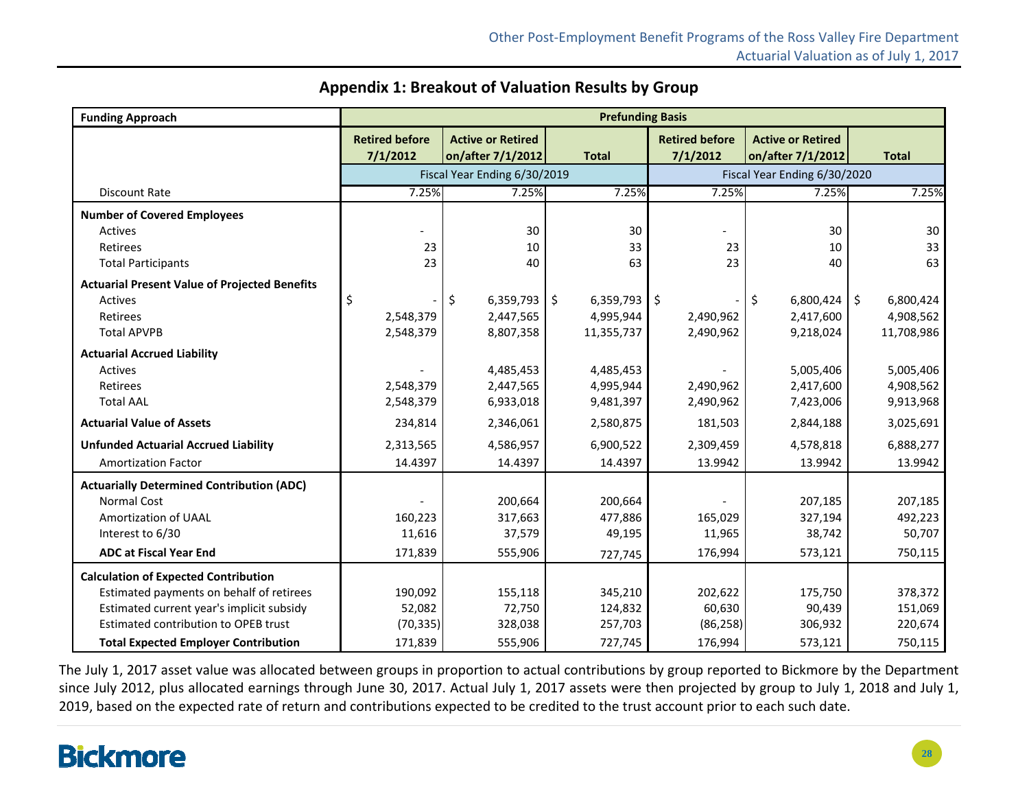| <b>Funding Approach</b>                              |                                   |                                               | <b>Prefunding Basis</b> |                                   |                                               |                 |
|------------------------------------------------------|-----------------------------------|-----------------------------------------------|-------------------------|-----------------------------------|-----------------------------------------------|-----------------|
|                                                      | <b>Retired before</b><br>7/1/2012 | <b>Active or Retired</b><br>on/after 7/1/2012 | <b>Total</b>            | <b>Retired before</b><br>7/1/2012 | <b>Active or Retired</b><br>on/after 7/1/2012 | <b>Total</b>    |
|                                                      |                                   | Fiscal Year Ending 6/30/2019                  |                         |                                   | Fiscal Year Ending 6/30/2020                  |                 |
| <b>Discount Rate</b>                                 | 7.25%                             | 7.25%                                         | 7.25%                   | 7.25%                             | 7.25%                                         | 7.25%           |
| <b>Number of Covered Employees</b>                   |                                   |                                               |                         |                                   |                                               |                 |
| Actives                                              |                                   | 30                                            | 30                      |                                   | 30                                            | 30              |
| Retirees                                             | 23                                | 10                                            | 33                      | 23                                | 10                                            | 33              |
| <b>Total Participants</b>                            | 23                                | 40                                            | 63                      | 23                                | 40                                            | 63              |
| <b>Actuarial Present Value of Projected Benefits</b> |                                   |                                               |                         |                                   |                                               |                 |
| Actives                                              | \$                                | 6,359,793<br>Ŝ.                               | \$<br>6,359,793         | $\overline{\phantom{a}}$          | \$<br>6,800,424                               | Ŝ.<br>6,800,424 |
| Retirees                                             | 2,548,379                         | 2,447,565                                     | 4,995,944               | 2,490,962                         | 2,417,600                                     | 4,908,562       |
| <b>Total APVPB</b>                                   | 2,548,379                         | 8,807,358                                     | 11,355,737              | 2,490,962                         | 9,218,024                                     | 11,708,986      |
| <b>Actuarial Accrued Liability</b>                   |                                   |                                               |                         |                                   |                                               |                 |
| Actives                                              |                                   | 4,485,453                                     | 4,485,453               |                                   | 5,005,406                                     | 5,005,406       |
| Retirees                                             | 2,548,379                         | 2,447,565                                     | 4,995,944               | 2,490,962                         | 2,417,600                                     | 4,908,562       |
| <b>Total AAL</b>                                     | 2,548,379                         | 6,933,018                                     | 9,481,397               | 2,490,962                         | 7,423,006                                     | 9,913,968       |
| <b>Actuarial Value of Assets</b>                     | 234,814                           | 2,346,061                                     | 2,580,875               | 181,503                           | 2,844,188                                     | 3,025,691       |
| <b>Unfunded Actuarial Accrued Liability</b>          | 2,313,565                         | 4,586,957                                     | 6,900,522               | 2,309,459                         | 4,578,818                                     | 6,888,277       |
| <b>Amortization Factor</b>                           | 14.4397                           | 14.4397                                       | 14.4397                 | 13.9942                           | 13.9942                                       | 13.9942         |
| <b>Actuarially Determined Contribution (ADC)</b>     |                                   |                                               |                         |                                   |                                               |                 |
| <b>Normal Cost</b>                                   |                                   | 200,664                                       | 200,664                 |                                   | 207,185                                       | 207,185         |
| Amortization of UAAL                                 | 160,223                           | 317,663                                       | 477,886                 | 165,029                           | 327,194                                       | 492,223         |
| Interest to 6/30                                     | 11,616                            | 37,579                                        | 49,195                  | 11,965                            | 38,742                                        | 50,707          |
| <b>ADC at Fiscal Year End</b>                        | 171,839                           | 555,906                                       | 727,745                 | 176,994                           | 573,121                                       | 750,115         |
| <b>Calculation of Expected Contribution</b>          |                                   |                                               |                         |                                   |                                               |                 |
| Estimated payments on behalf of retirees             | 190,092                           | 155,118                                       | 345,210                 | 202,622                           | 175,750                                       | 378,372         |
| Estimated current year's implicit subsidy            | 52,082                            | 72,750                                        | 124,832                 | 60,630                            | 90,439                                        | 151,069         |
| Estimated contribution to OPEB trust                 | (70, 335)                         | 328,038                                       | 257,703                 | (86, 258)                         | 306,932                                       | 220,674         |
| <b>Total Expected Employer Contribution</b>          | 171,839                           | 555,906                                       | 727,745                 | 176,994                           | 573,121                                       | 750,115         |

#### **Appendix 1: Breakout of Valuation Results by Group**

The July 1, 2017 asset value was allocated between groups in proportion to actual contributions by group reported to Bickmore by the Department since July 2012, plus allocated earnings through June 30, 2017. Actual July 1, 2017 assets were then projected by group to July 1, 2018 and July 1, 2019, based on the expected rate of return and contributions expected to be credited to the trust account prior to each such date.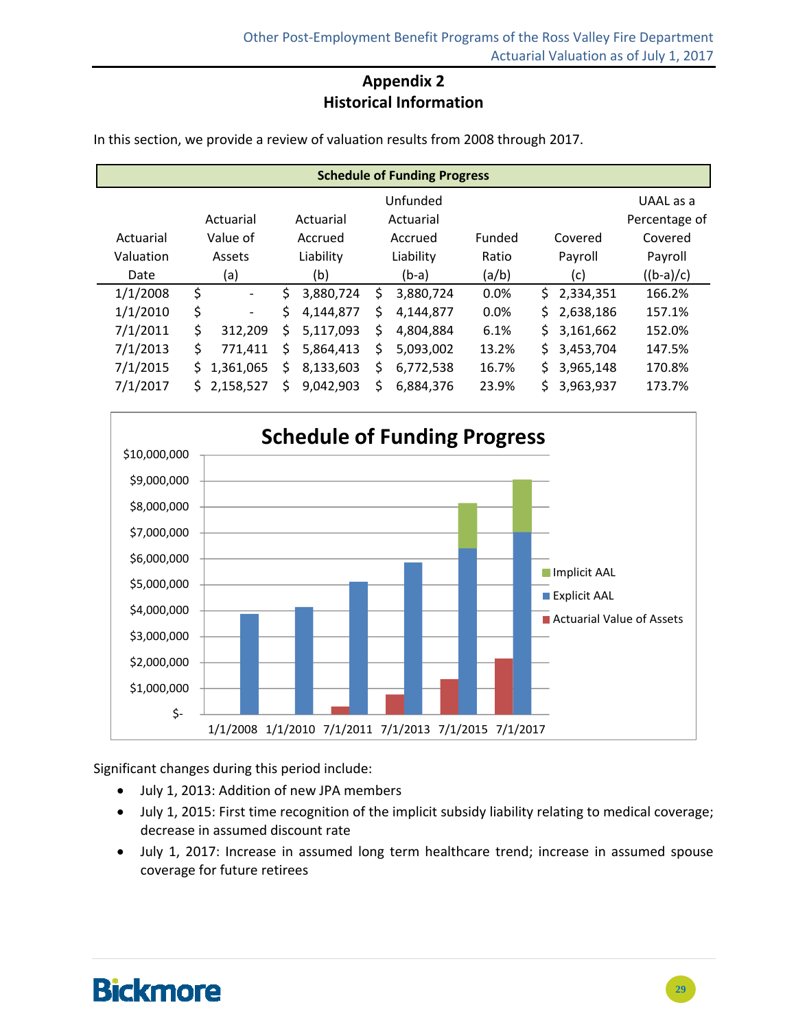### **Appendix 2 Historical Information**

In this section, we provide a review of valuation results from 2008 through 2017.

| <b>Schedule of Funding Progress</b> |           |                |           |           |           |           |        |         |           |               |
|-------------------------------------|-----------|----------------|-----------|-----------|-----------|-----------|--------|---------|-----------|---------------|
|                                     |           |                |           | Unfunded  |           |           |        |         |           | UAAL as a     |
|                                     | Actuarial |                | Actuarial |           | Actuarial |           |        |         |           | Percentage of |
| Actuarial                           | Value of  |                | Accrued   |           | Accrued   |           | Funded |         | Covered   | Covered       |
| Valuation                           | Assets    |                | Liability |           | Liability |           | Ratio  | Payroll |           | Payroll       |
| Date                                | (a)       |                | (b)       |           | $(b-a)$   |           | (a/b)  | (c)     |           | $((b-a)/c)$   |
| 1/1/2008                            | \$        | $\blacksquare$ | \$        | 3,880,724 | \$        | 3,880,724 | 0.0%   | \$.     | 2,334,351 | 166.2%        |
| 1/1/2010                            | \$        | -              | \$        | 4,144,877 | \$        | 4,144,877 | 0.0%   | \$      | 2,638,186 | 157.1%        |
| 7/1/2011                            | \$        | 312,209        | \$        | 5,117,093 | \$        | 4,804,884 | 6.1%   | \$      | 3,161,662 | 152.0%        |
| 7/1/2013                            | \$        | 771,411        | \$        | 5,864,413 | \$        | 5,093,002 | 13.2%  | \$      | 3,453,704 | 147.5%        |
| 7/1/2015                            | \$        | 1,361,065      | \$        | 8,133,603 | \$        | 6,772,538 | 16.7%  | \$      | 3,965,148 | 170.8%        |
| 7/1/2017                            | Ś.        | 2,158,527      | Ś         | 9,042,903 | Ś         | 6,884,376 | 23.9%  | \$      | 3,963,937 | 173.7%        |

1/1/2008 1/1/2010 7/1/2011 7/1/2013 7/1/2015 7/1/2017 \$‐ \$1,000,000 \$2,000,000 \$3,000,000 \$4,000,000 \$5,000,000 \$6,000,000 \$7,000,000 \$8,000,000 \$9,000,000 \$10,000,000 **Schedule of Funding Progress** Implicit AAL **Explicit AAL** ■ Actuarial Value of Assets

Significant changes during this period include:

- July 1, 2013: Addition of new JPA members
- July 1, 2015: First time recognition of the implicit subsidy liability relating to medical coverage; decrease in assumed discount rate
- July 1, 2017: Increase in assumed long term healthcare trend; increase in assumed spouse coverage for future retirees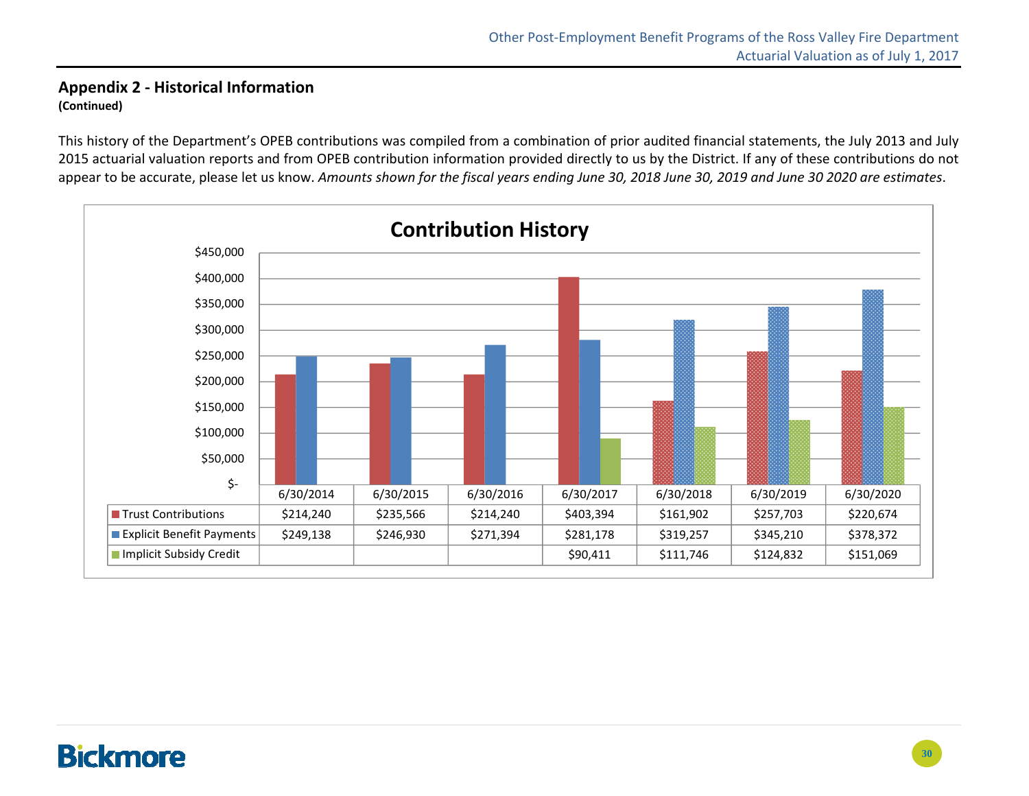#### **Appendix 2 ‐ Historical Information (Continued)**

This history of the Department's OPEB contributions was compiled from <sup>a</sup> combination of prior audited financial statements, the July 2013 and July 2015 actuarial valuation reports and from OPEB contribution information provided directly to us by the District. If any of these contributions do not appear to be accurate, please let us know. Amounts shown for the fiscal years ending June 30, 2018 June 30, 2019 and June 30 2020 are estimates.

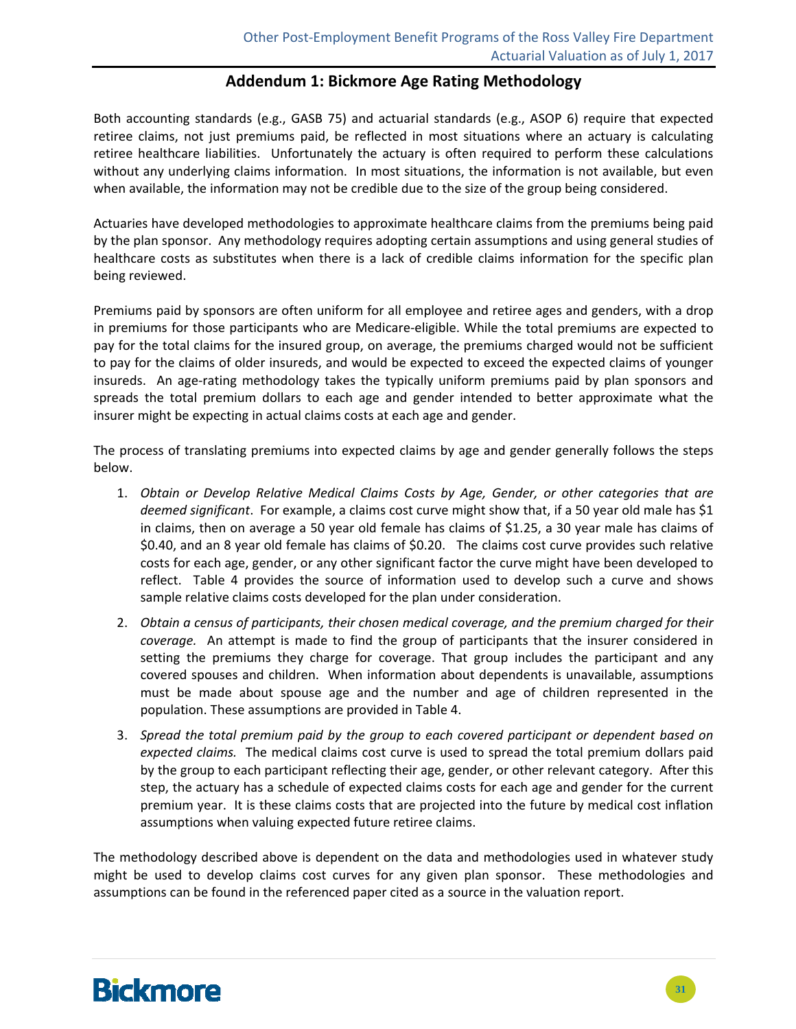#### **Addendum 1: Bickmore Age Rating Methodology**

Both accounting standards (e.g., GASB 75) and actuarial standards (e.g., ASOP 6) require that expected retiree claims, not just premiums paid, be reflected in most situations where an actuary is calculating retiree healthcare liabilities. Unfortunately the actuary is often required to perform these calculations without any underlying claims information. In most situations, the information is not available, but even when available, the information may not be credible due to the size of the group being considered.

Actuaries have developed methodologies to approximate healthcare claims from the premiums being paid by the plan sponsor. Any methodology requires adopting certain assumptions and using general studies of healthcare costs as substitutes when there is a lack of credible claims information for the specific plan being reviewed.

Premiums paid by sponsors are often uniform for all employee and retiree ages and genders, with a drop in premiums for those participants who are Medicare‐eligible. While the total premiums are expected to pay for the total claims for the insured group, on average, the premiums charged would not be sufficient to pay for the claims of older insureds, and would be expected to exceed the expected claims of younger insureds. An age-rating methodology takes the typically uniform premiums paid by plan sponsors and spreads the total premium dollars to each age and gender intended to better approximate what the insurer might be expecting in actual claims costs at each age and gender.

The process of translating premiums into expected claims by age and gender generally follows the steps below.

- 1. *Obtain or Develop Relative Medical Claims Costs by Age, Gender, or other categories that are deemed significant*. For example, a claims cost curve might show that, if a 50 year old male has \$1 in claims, then on average a 50 year old female has claims of \$1.25, a 30 year male has claims of \$0.40, and an 8 year old female has claims of \$0.20. The claims cost curve provides such relative costs for each age, gender, or any other significant factor the curve might have been developed to reflect. Table 4 provides the source of information used to develop such a curve and shows sample relative claims costs developed for the plan under consideration.
- 2. *Obtain a census of participants, their chosen medical coverage, and the premium charged for their coverage.* An attempt is made to find the group of participants that the insurer considered in setting the premiums they charge for coverage. That group includes the participant and any covered spouses and children. When information about dependents is unavailable, assumptions must be made about spouse age and the number and age of children represented in the population. These assumptions are provided in Table 4.
- 3. *Spread the total premium paid by the group to each covered participant or dependent based on expected claims.* The medical claims cost curve is used to spread the total premium dollars paid by the group to each participant reflecting their age, gender, or other relevant category. After this step, the actuary has a schedule of expected claims costs for each age and gender for the current premium year. It is these claims costs that are projected into the future by medical cost inflation assumptions when valuing expected future retiree claims.

The methodology described above is dependent on the data and methodologies used in whatever study might be used to develop claims cost curves for any given plan sponsor. These methodologies and assumptions can be found in the referenced paper cited as a source in the valuation report.

### **Bickmore**

**31**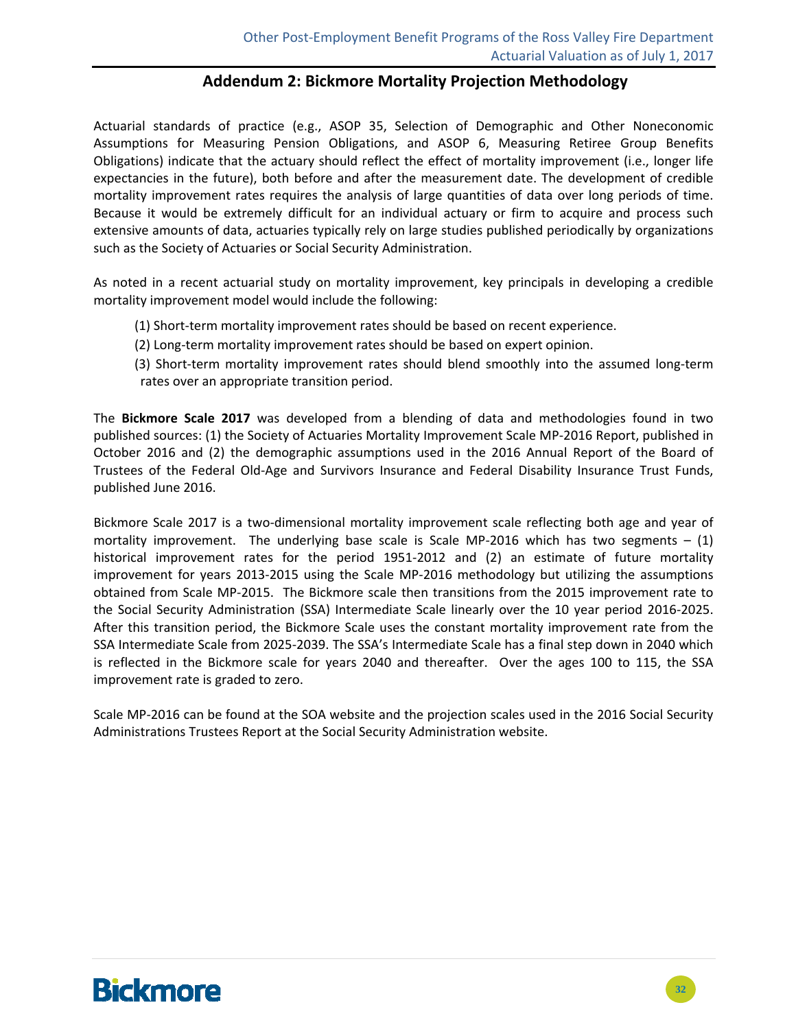#### **Addendum 2: Bickmore Mortality Projection Methodology**

Actuarial standards of practice (e.g., ASOP 35, Selection of Demographic and Other Noneconomic Assumptions for Measuring Pension Obligations, and ASOP 6, Measuring Retiree Group Benefits Obligations) indicate that the actuary should reflect the effect of mortality improvement (i.e., longer life expectancies in the future), both before and after the measurement date. The development of credible mortality improvement rates requires the analysis of large quantities of data over long periods of time. Because it would be extremely difficult for an individual actuary or firm to acquire and process such extensive amounts of data, actuaries typically rely on large studies published periodically by organizations such as the Society of Actuaries or Social Security Administration.

As noted in a recent actuarial study on mortality improvement, key principals in developing a credible mortality improvement model would include the following:

- (1) Short-term mortality improvement rates should be based on recent experience.
- (2) Long‐term mortality improvement rates should be based on expert opinion.
- (3) Short-term mortality improvement rates should blend smoothly into the assumed long-term rates over an appropriate transition period.

The **Bickmore Scale 2017** was developed from a blending of data and methodologies found in two published sources: (1) the Society of Actuaries Mortality Improvement Scale MP‐2016 Report, published in October 2016 and (2) the demographic assumptions used in the 2016 Annual Report of the Board of Trustees of the Federal Old‐Age and Survivors Insurance and Federal Disability Insurance Trust Funds, published June 2016.

Bickmore Scale 2017 is a two-dimensional mortality improvement scale reflecting both age and year of mortality improvement. The underlying base scale is Scale MP-2016 which has two segments  $- (1)$ historical improvement rates for the period 1951‐2012 and (2) an estimate of future mortality improvement for years 2013‐2015 using the Scale MP‐2016 methodology but utilizing the assumptions obtained from Scale MP‐2015. The Bickmore scale then transitions from the 2015 improvement rate to the Social Security Administration (SSA) Intermediate Scale linearly over the 10 year period 2016‐2025. After this transition period, the Bickmore Scale uses the constant mortality improvement rate from the SSA Intermediate Scale from 2025‐2039. The SSA's Intermediate Scale has a final step down in 2040 which is reflected in the Bickmore scale for years 2040 and thereafter. Over the ages 100 to 115, the SSA improvement rate is graded to zero.

Scale MP‐2016 can be found at the SOA website and the projection scales used in the 2016 Social Security Administrations Trustees Report at the Social Security Administration website.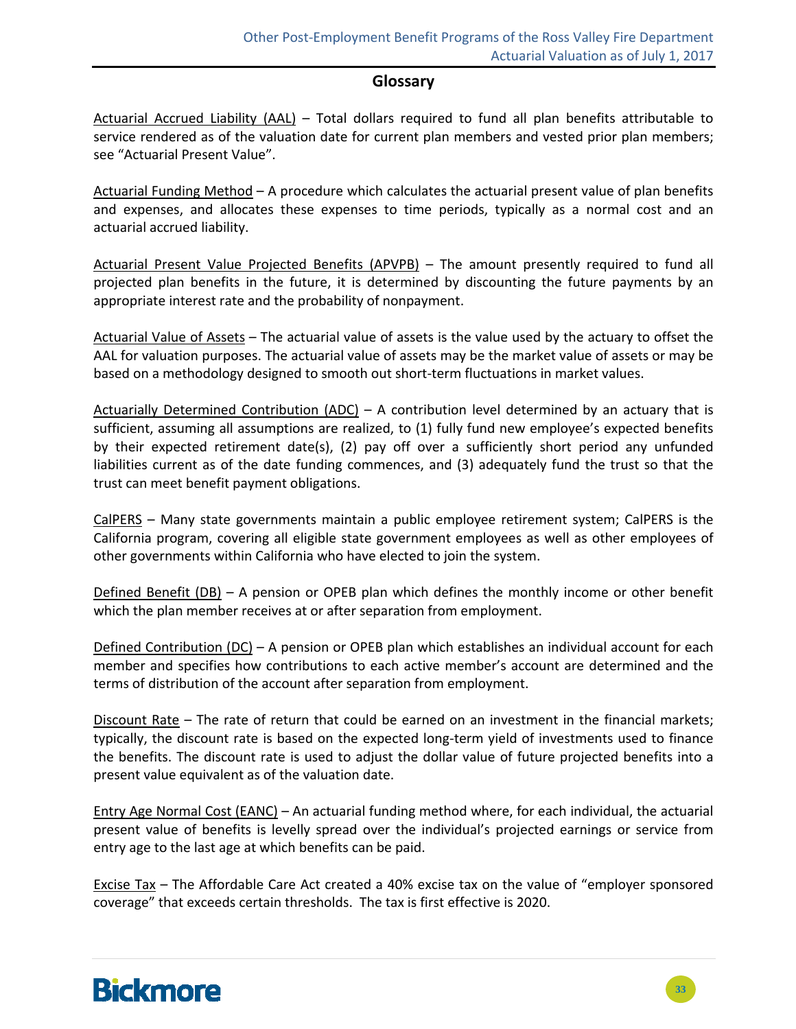#### **Glossary**

Actuarial Accrued Liability (AAL) – Total dollars required to fund all plan benefits attributable to service rendered as of the valuation date for current plan members and vested prior plan members; see "Actuarial Present Value".

Actuarial Funding Method – A procedure which calculates the actuarial present value of plan benefits and expenses, and allocates these expenses to time periods, typically as a normal cost and an actuarial accrued liability.

Actuarial Present Value Projected Benefits (APVPB) – The amount presently required to fund all projected plan benefits in the future, it is determined by discounting the future payments by an appropriate interest rate and the probability of nonpayment.

Actuarial Value of Assets – The actuarial value of assets is the value used by the actuary to offset the AAL for valuation purposes. The actuarial value of assets may be the market value of assets or may be based on a methodology designed to smooth out short‐term fluctuations in market values.

Actuarially Determined Contribution  $(ADC) - A$  contribution level determined by an actuary that is sufficient, assuming all assumptions are realized, to (1) fully fund new employee's expected benefits by their expected retirement date(s), (2) pay off over a sufficiently short period any unfunded liabilities current as of the date funding commences, and (3) adequately fund the trust so that the trust can meet benefit payment obligations.

CalPERS – Many state governments maintain a public employee retirement system; CalPERS is the California program, covering all eligible state government employees as well as other employees of other governments within California who have elected to join the system.

Defined Benefit (DB) – A pension or OPEB plan which defines the monthly income or other benefit which the plan member receives at or after separation from employment.

Defined Contribution (DC) – A pension or OPEB plan which establishes an individual account for each member and specifies how contributions to each active member's account are determined and the terms of distribution of the account after separation from employment.

Discount Rate – The rate of return that could be earned on an investment in the financial markets; typically, the discount rate is based on the expected long‐term yield of investments used to finance the benefits. The discount rate is used to adjust the dollar value of future projected benefits into a present value equivalent as of the valuation date.

Entry Age Normal Cost (EANC) – An actuarial funding method where, for each individual, the actuarial present value of benefits is levelly spread over the individual's projected earnings or service from entry age to the last age at which benefits can be paid.

Excise Tax – The Affordable Care Act created a 40% excise tax on the value of "employer sponsored coverage" that exceeds certain thresholds. The tax is first effective is 2020.

# **Bickmore**

**33**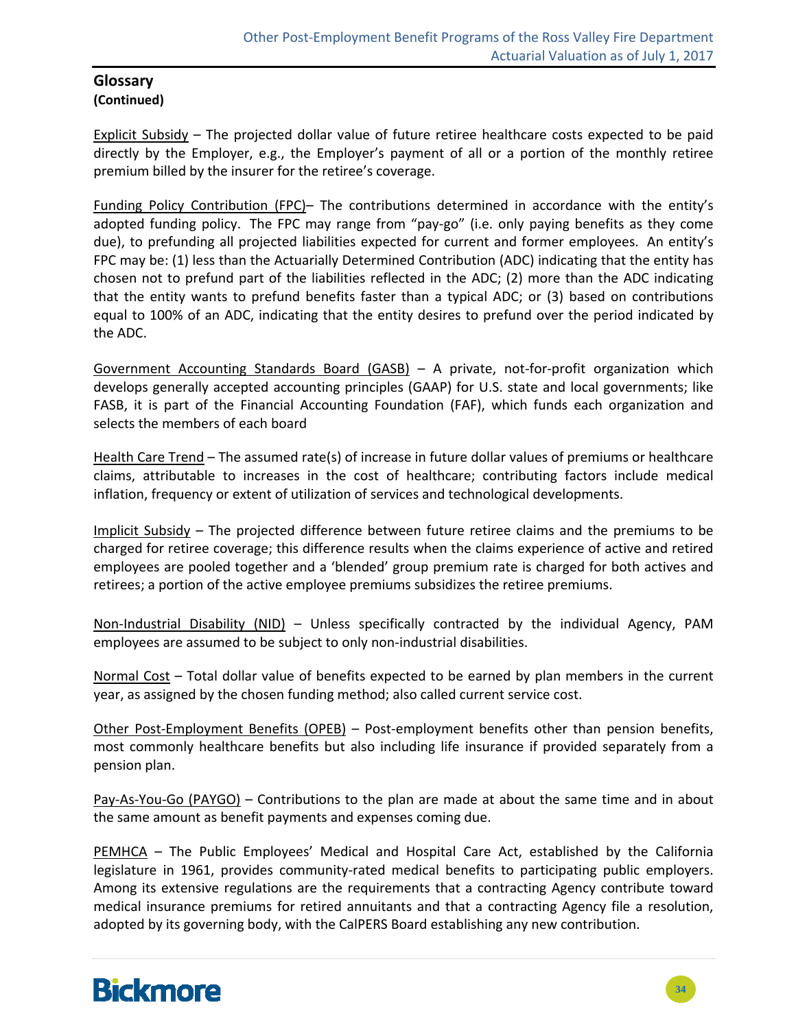#### **Glossary (Continued)**

Explicit Subsidy – The projected dollar value of future retiree healthcare costs expected to be paid directly by the Employer, e.g., the Employer's payment of all or a portion of the monthly retiree premium billed by the insurer for the retiree's coverage.

Funding Policy Contribution (FPC)– The contributions determined in accordance with the entity's adopted funding policy. The FPC may range from "pay‐go" (i.e. only paying benefits as they come due), to prefunding all projected liabilities expected for current and former employees. An entity's FPC may be: (1) less than the Actuarially Determined Contribution (ADC) indicating that the entity has chosen not to prefund part of the liabilities reflected in the ADC; (2) more than the ADC indicating that the entity wants to prefund benefits faster than a typical ADC; or (3) based on contributions equal to 100% of an ADC, indicating that the entity desires to prefund over the period indicated by the ADC.

Government Accounting Standards Board (GASB) – A private, not‐for‐profit organization which develops generally accepted accounting principles (GAAP) for U.S. state and local governments; like FASB, it is part of the Financial Accounting Foundation (FAF), which funds each organization and selects the members of each board

Health Care Trend – The assumed rate(s) of increase in future dollar values of premiums or healthcare claims, attributable to increases in the cost of healthcare; contributing factors include medical inflation, frequency or extent of utilization of services and technological developments.

Implicit Subsidy – The projected difference between future retiree claims and the premiums to be charged for retiree coverage; this difference results when the claims experience of active and retired employees are pooled together and a 'blended' group premium rate is charged for both actives and retirees; a portion of the active employee premiums subsidizes the retiree premiums.

Non-Industrial Disability (NID) – Unless specifically contracted by the individual Agency, PAM employees are assumed to be subject to only non-industrial disabilities.

Normal Cost – Total dollar value of benefits expected to be earned by plan members in the current year, as assigned by the chosen funding method; also called current service cost.

Other Post-Employment Benefits (OPEB) – Post-employment benefits other than pension benefits, most commonly healthcare benefits but also including life insurance if provided separately from a pension plan.

Pay-As-You-Go (PAYGO) – Contributions to the plan are made at about the same time and in about the same amount as benefit payments and expenses coming due.

PEMHCA – The Public Employees' Medical and Hospital Care Act, established by the California legislature in 1961, provides community-rated medical benefits to participating public employers. Among its extensive regulations are the requirements that a contracting Agency contribute toward medical insurance premiums for retired annuitants and that a contracting Agency file a resolution, adopted by its governing body, with the CalPERS Board establishing any new contribution.